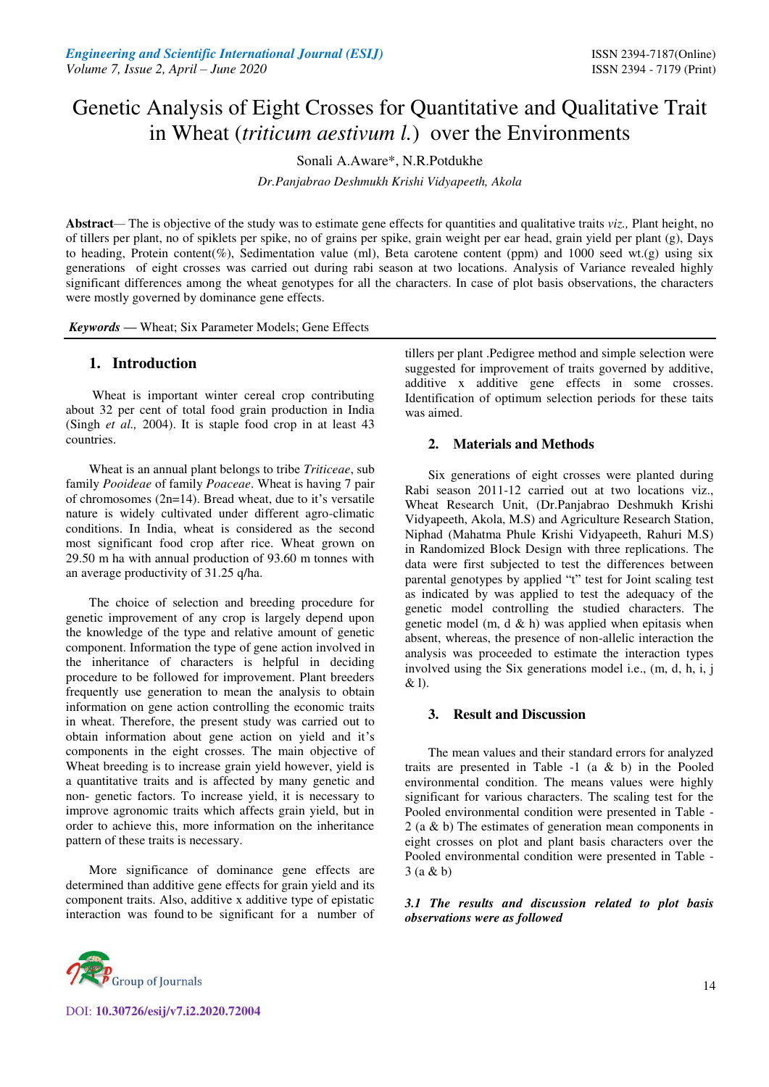# Genetic Analysis of Eight Crosses for Quantitative and Qualitative Trait in Wheat (*triticum aestivum l.*) over the Environments

Sonali A.Aware\*, N.R.Potdukhe

*Dr.Panjabrao Deshmukh Krishi Vidyapeeth, Akola* 

**Abstract***—* The is objective of the study was to estimate gene effects for quantities and qualitative traits *viz.,* Plant height, no of tillers per plant, no of spiklets per spike, no of grains per spike, grain weight per ear head, grain yield per plant (g), Days to heading, Protein content(%), Sedimentation value (ml), Beta carotene content (ppm) and 1000 seed wt.(g) using six generations of eight crosses was carried out during rabi season at two locations. Analysis of Variance revealed highly significant differences among the wheat genotypes for all the characters. In case of plot basis observations, the characters were mostly governed by dominance gene effects.

*Keywords* **—** Wheat; Six Parameter Models; Gene Effects

# **1. Introduction**

 Wheat is important winter cereal crop contributing about 32 per cent of total food grain production in India (Singh *et al.,* 2004). It is staple food crop in at least 43 countries.

Wheat is an annual plant belongs to tribe *Triticeae*, sub family *Pooideae* of family *Poaceae*. Wheat is having 7 pair of chromosomes (2n=14). Bread wheat, due to it's versatile nature is widely cultivated under different agro-climatic conditions. In India, wheat is considered as the second most significant food crop after rice. Wheat grown on 29.50 m ha with annual production of 93.60 m tonnes with an average productivity of 31.25 q/ha.

The choice of selection and breeding procedure for genetic improvement of any crop is largely depend upon the knowledge of the type and relative amount of genetic component. Information the type of gene action involved in the inheritance of characters is helpful in deciding procedure to be followed for improvement. Plant breeders frequently use generation to mean the analysis to obtain information on gene action controlling the economic traits in wheat. Therefore, the present study was carried out to obtain information about gene action on yield and it's components in the eight crosses. The main objective of Wheat breeding is to increase grain yield however, yield is a quantitative traits and is affected by many genetic and non- genetic factors. To increase yield, it is necessary to improve agronomic traits which affects grain yield, but in order to achieve this, more information on the inheritance pattern of these traits is necessary.

More significance of dominance gene effects are determined than additive gene effects for grain yield and its component traits. Also, additive x additive type of epistatic interaction was found to be significant for a number of tillers per plant .Pedigree method and simple selection were suggested for improvement of traits governed by additive, additive x additive gene effects in some crosses. Identification of optimum selection periods for these taits was aimed.

# **2. Materials and Methods**

Six generations of eight crosses were planted during Rabi season 2011-12 carried out at two locations viz., Wheat Research Unit, (Dr.Panjabrao Deshmukh Krishi Vidyapeeth, Akola, M.S) and Agriculture Research Station, Niphad (Mahatma Phule Krishi Vidyapeeth, Rahuri M.S) in Randomized Block Design with three replications. The data were first subjected to test the differences between parental genotypes by applied "t" test for Joint scaling test as indicated by was applied to test the adequacy of the genetic model controlling the studied characters. The genetic model  $(m, d & h)$  was applied when epitasis when absent, whereas, the presence of non-allelic interaction the analysis was proceeded to estimate the interaction types involved using the Six generations model i.e., (m, d, h, i, j & l).

# **3. Result and Discussion**

The mean values and their standard errors for analyzed traits are presented in Table  $-1$  (a & b) in the Pooled environmental condition. The means values were highly significant for various characters. The scaling test for the Pooled environmental condition were presented in Table - 2 (a & b) The estimates of generation mean components in eight crosses on plot and plant basis characters over the Pooled environmental condition were presented in Table - 3 (a & b)

*3.1 The results and discussion related to plot basis observations were as followed* 

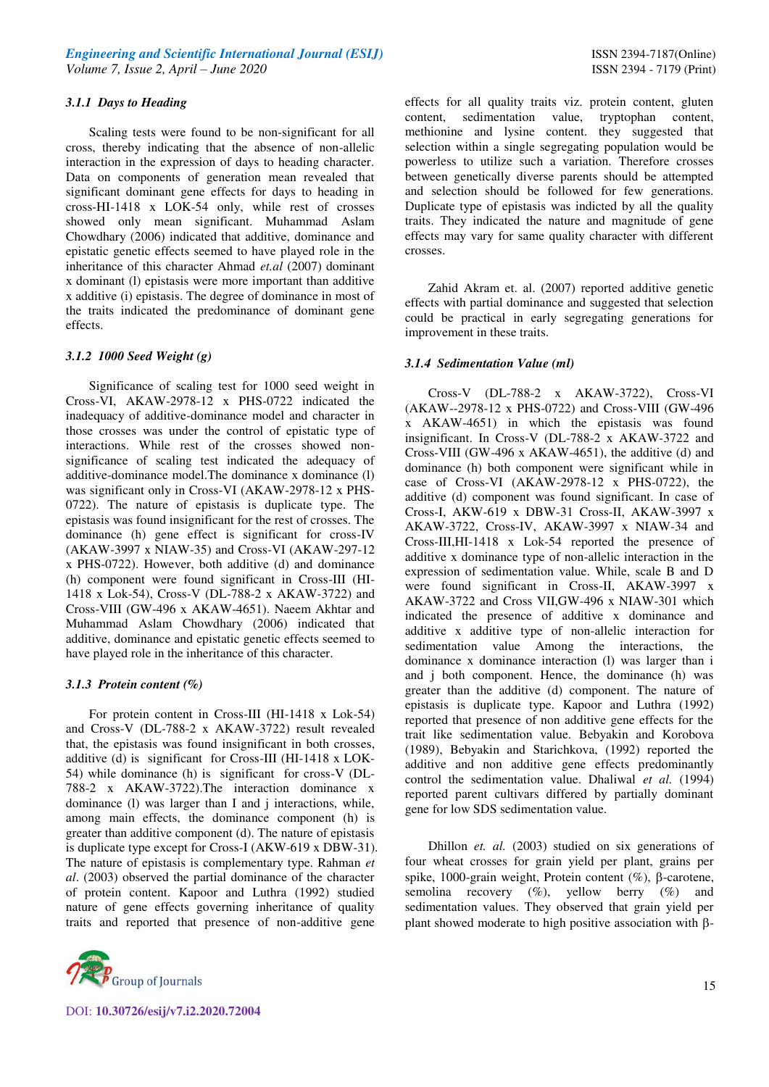#### *3.1.1 Days to Heading*

Scaling tests were found to be non-significant for all cross, thereby indicating that the absence of non-allelic interaction in the expression of days to heading character. Data on components of generation mean revealed that significant dominant gene effects for days to heading in cross-HI-1418 x LOK-54 only, while rest of crosses showed only mean significant. Muhammad Aslam Chowdhary (2006) indicated that additive, dominance and epistatic genetic effects seemed to have played role in the inheritance of this character Ahmad *et.al* (2007) dominant x dominant (l) epistasis were more important than additive x additive (i) epistasis. The degree of dominance in most of the traits indicated the predominance of dominant gene effects.

# *3.1.2 1000 Seed Weight (g)*

Significance of scaling test for 1000 seed weight in Cross-VI, AKAW-2978-12 x PHS-0722 indicated the inadequacy of additive-dominance model and character in those crosses was under the control of epistatic type of interactions. While rest of the crosses showed nonsignificance of scaling test indicated the adequacy of additive-dominance model.The dominance x dominance (l) was significant only in Cross-VI (AKAW-2978-12 x PHS-0722). The nature of epistasis is duplicate type. The epistasis was found insignificant for the rest of crosses. The dominance (h) gene effect is significant for cross-IV (AKAW-3997 x NIAW-35) and Cross-VI (AKAW-297-12 x PHS-0722). However, both additive (d) and dominance (h) component were found significant in Cross-III (HI-1418 x Lok-54), Cross-V (DL-788-2 x AKAW-3722) and Cross-VIII (GW-496 x AKAW-4651). Naeem Akhtar and Muhammad Aslam Chowdhary (2006) indicated that additive, dominance and epistatic genetic effects seemed to have played role in the inheritance of this character.

# *3.1.3 Protein content (%)*

For protein content in Cross-III (HI-1418 x Lok-54) and Cross-V (DL-788-2 x AKAW-3722) result revealed that, the epistasis was found insignificant in both crosses, additive (d) is significant for Cross-III (HI-1418 x LOK-54) while dominance (h) is significant for cross-V (DL-788-2 x AKAW-3722).The interaction dominance x dominance (l) was larger than I and j interactions, while, among main effects, the dominance component (h) is greater than additive component (d). The nature of epistasis is duplicate type except for Cross-I (AKW-619 x DBW-31). The nature of epistasis is complementary type. Rahman *et al*. (2003) observed the partial dominance of the character of protein content. Kapoor and Luthra (1992) studied nature of gene effects governing inheritance of quality traits and reported that presence of non-additive gene



effects for all quality traits viz. protein content, gluten content, sedimentation value, tryptophan content, methionine and lysine content. they suggested that selection within a single segregating population would be powerless to utilize such a variation. Therefore crosses between genetically diverse parents should be attempted and selection should be followed for few generations. Duplicate type of epistasis was indicted by all the quality traits. They indicated the nature and magnitude of gene effects may vary for same quality character with different crosses.

Zahid Akram et. al. (2007) reported additive genetic effects with partial dominance and suggested that selection could be practical in early segregating generations for improvement in these traits.

#### *3.1.4 Sedimentation Value (ml)*

Cross-V (DL-788-2 x AKAW-3722), Cross-VI (AKAW--2978-12 x PHS-0722) and Cross-VIII (GW-496 x AKAW-4651) in which the epistasis was found insignificant. In Cross-V (DL-788-2 x AKAW-3722 and Cross-VIII (GW-496 x AKAW-4651), the additive (d) and dominance (h) both component were significant while in case of Cross-VI (AKAW-2978-12 x PHS-0722), the additive (d) component was found significant. In case of Cross-I, AKW-619 x DBW-31 Cross-II, AKAW-3997 x AKAW-3722, Cross-IV, AKAW-3997 x NIAW-34 and Cross-III,HI-1418 x Lok-54 reported the presence of additive x dominance type of non-allelic interaction in the expression of sedimentation value. While, scale B and D were found significant in Cross-II, AKAW-3997 x AKAW-3722 and Cross VII,GW-496 x NIAW-301 which indicated the presence of additive x dominance and additive x additive type of non-allelic interaction for sedimentation value Among the interactions, the dominance x dominance interaction (l) was larger than i and j both component. Hence, the dominance (h) was greater than the additive (d) component. The nature of epistasis is duplicate type. Kapoor and Luthra (1992) reported that presence of non additive gene effects for the trait like sedimentation value. Bebyakin and Korobova (1989), Bebyakin and Starichkova, (1992) reported the additive and non additive gene effects predominantly control the sedimentation value. Dhaliwal *et al.* (1994) reported parent cultivars differed by partially dominant gene for low SDS sedimentation value.

Dhillon *et. al.* (2003) studied on six generations of four wheat crosses for grain yield per plant, grains per spike, 1000-grain weight, Protein content  $(\%)$ ,  $\beta$ -carotene, semolina recovery  $(\%)$ , yellow berry  $(\%)$  and sedimentation values. They observed that grain yield per plant showed moderate to high positive association with  $\beta$ -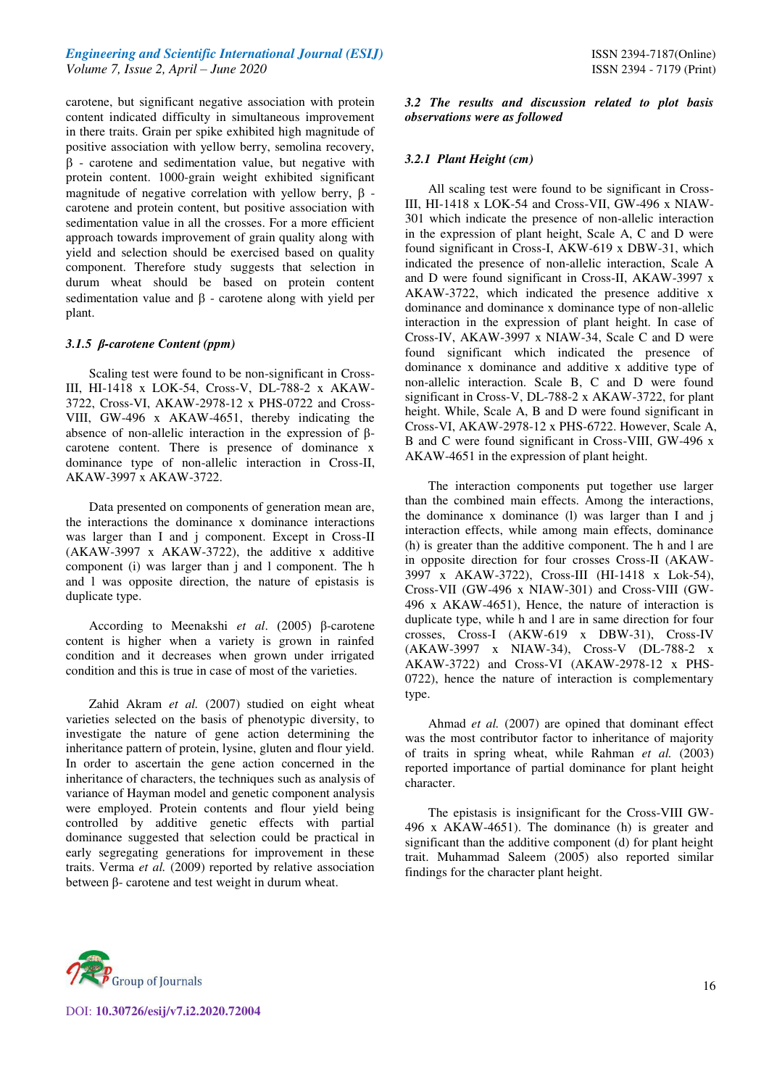# *Engineering and Scientific International Journal (ESIJ)* **ISSN 2394-7187(Online) ISSN 2394-7187(Online)** *Volume 7, Issue 2, April – June 2020* ISSN 2394 - 7179 (Print)

carotene, but significant negative association with protein content indicated difficulty in simultaneous improvement in there traits. Grain per spike exhibited high magnitude of positive association with yellow berry, semolina recovery,  $\beta$  - carotene and sedimentation value, but negative with protein content. 1000-grain weight exhibited significant magnitude of negative correlation with yellow berry,  $\beta$  carotene and protein content, but positive association with sedimentation value in all the crosses. For a more efficient approach towards improvement of grain quality along with yield and selection should be exercised based on quality component. Therefore study suggests that selection in durum wheat should be based on protein content sedimentation value and  $\beta$  - carotene along with yield per plant.

#### *3.1.5 β-carotene Content (ppm)*

Scaling test were found to be non-significant in Cross-III, HI-1418 x LOK-54, Cross-V, DL-788-2 x AKAW-3722, Cross-VI, AKAW-2978-12 x PHS-0722 and Cross-VIII, GW-496 x AKAW-4651, thereby indicating the absence of non-allelic interaction in the expression of βcarotene content. There is presence of dominance x dominance type of non-allelic interaction in Cross-II, AKAW-3997 x AKAW-3722.

Data presented on components of generation mean are, the interactions the dominance x dominance interactions was larger than I and j component. Except in Cross-II (AKAW-3997 x AKAW-3722), the additive x additive component (i) was larger than j and l component. The h and l was opposite direction, the nature of epistasis is duplicate type.

According to Meenakshi *et al*. (2005) β-carotene content is higher when a variety is grown in rainfed condition and it decreases when grown under irrigated condition and this is true in case of most of the varieties.

Zahid Akram *et al.* (2007) studied on eight wheat varieties selected on the basis of phenotypic diversity, to investigate the nature of gene action determining the inheritance pattern of protein, lysine, gluten and flour yield. In order to ascertain the gene action concerned in the inheritance of characters, the techniques such as analysis of variance of Hayman model and genetic component analysis were employed. Protein contents and flour yield being controlled by additive genetic effects with partial dominance suggested that selection could be practical in early segregating generations for improvement in these traits. Verma *et al.* (2009) reported by relative association between β- carotene and test weight in durum wheat.

*3.2 The results and discussion related to plot basis observations were as followed* 

#### *3.2.1 Plant Height (cm)*

All scaling test were found to be significant in Cross-III, HI-1418 x LOK-54 and Cross-VII, GW-496 x NIAW-301 which indicate the presence of non-allelic interaction in the expression of plant height, Scale A, C and D were found significant in Cross-I, AKW-619 x DBW-31, which indicated the presence of non-allelic interaction, Scale A and D were found significant in Cross-II, AKAW-3997 x AKAW-3722, which indicated the presence additive x dominance and dominance x dominance type of non-allelic interaction in the expression of plant height. In case of Cross-IV, AKAW-3997 x NIAW-34, Scale C and D were found significant which indicated the presence of dominance x dominance and additive x additive type of non-allelic interaction. Scale B, C and D were found significant in Cross-V, DL-788-2 x AKAW-3722, for plant height. While, Scale A, B and D were found significant in Cross-VI, AKAW-2978-12 x PHS-6722. However, Scale A, B and C were found significant in Cross-VIII, GW-496 x AKAW-4651 in the expression of plant height.

The interaction components put together use larger than the combined main effects. Among the interactions, the dominance x dominance (l) was larger than I and j interaction effects, while among main effects, dominance (h) is greater than the additive component. The h and l are in opposite direction for four crosses Cross-II (AKAW-3997 x AKAW-3722), Cross-III (HI-1418 x Lok-54), Cross-VII (GW-496 x NIAW-301) and Cross-VIII (GW-496 x AKAW-4651), Hence, the nature of interaction is duplicate type, while h and l are in same direction for four crosses, Cross-I (AKW-619 x DBW-31), Cross-IV (AKAW-3997 x NIAW-34), Cross-V (DL-788-2 x AKAW-3722) and Cross-VI (AKAW-2978-12 x PHS-0722), hence the nature of interaction is complementary type.

Ahmad *et al.* (2007) are opined that dominant effect was the most contributor factor to inheritance of majority of traits in spring wheat, while Rahman *et al.* (2003) reported importance of partial dominance for plant height character.

The epistasis is insignificant for the Cross-VIII GW-496 x AKAW-4651). The dominance (h) is greater and significant than the additive component (d) for plant height trait. Muhammad Saleem (2005) also reported similar findings for the character plant height.

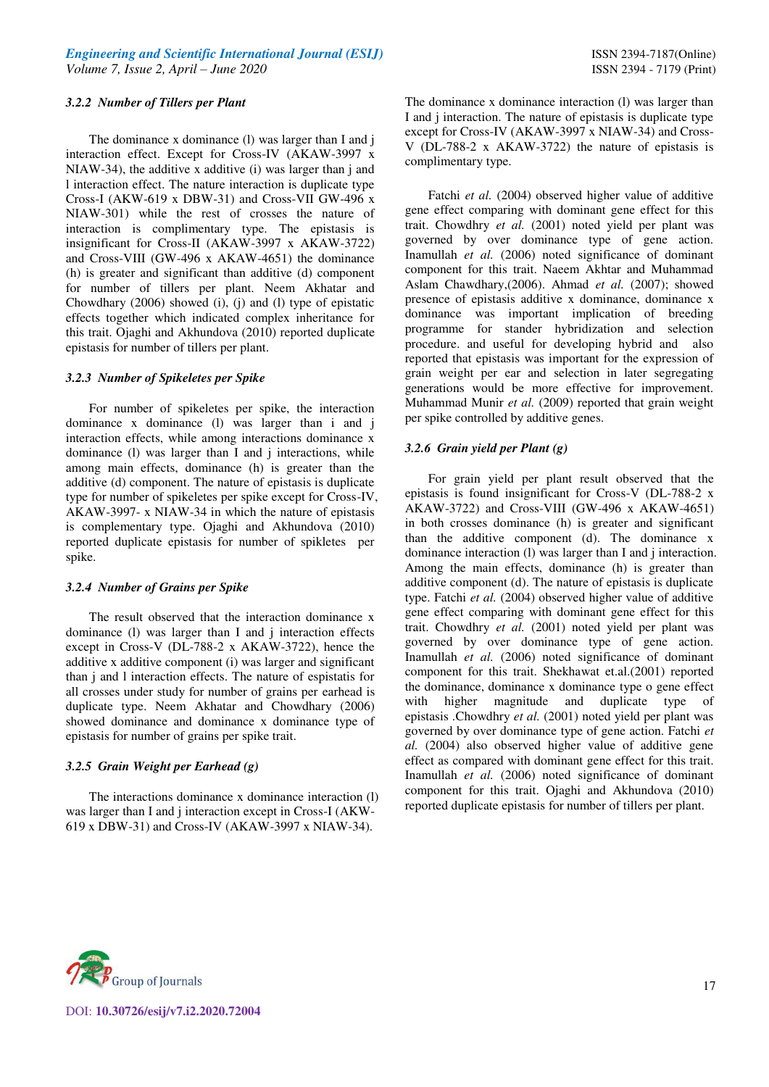#### *3.2.2 Number of Tillers per Plant*

The dominance x dominance (1) was larger than I and j interaction effect. Except for Cross-IV (AKAW-3997 x NIAW-34), the additive x additive (i) was larger than j and l interaction effect. The nature interaction is duplicate type Cross-I (AKW-619 x DBW-31) and Cross-VII GW-496 x NIAW-301) while the rest of crosses the nature of interaction is complimentary type. The epistasis is insignificant for Cross-II (AKAW-3997 x AKAW-3722) and Cross-VIII (GW-496 x AKAW-4651) the dominance (h) is greater and significant than additive (d) component for number of tillers per plant. Neem Akhatar and Chowdhary (2006) showed (i), (j) and (l) type of epistatic effects together which indicated complex inheritance for this trait. Ojaghi and Akhundova (2010) reported duplicate epistasis for number of tillers per plant.

#### *3.2.3 Number of Spikeletes per Spike*

For number of spikeletes per spike, the interaction dominance x dominance (l) was larger than i and j interaction effects, while among interactions dominance x dominance (l) was larger than I and j interactions, while among main effects, dominance (h) is greater than the additive (d) component. The nature of epistasis is duplicate type for number of spikeletes per spike except for Cross-IV, AKAW-3997- x NIAW-34 in which the nature of epistasis is complementary type. Ojaghi and Akhundova (2010) reported duplicate epistasis for number of spikletes per spike.

### *3.2.4 Number of Grains per Spike*

 The result observed that the interaction dominance x dominance (l) was larger than I and j interaction effects except in Cross-V (DL-788-2 x AKAW-3722), hence the additive x additive component (i) was larger and significant than j and l interaction effects. The nature of espistatis for all crosses under study for number of grains per earhead is duplicate type. Neem Akhatar and Chowdhary (2006) showed dominance and dominance x dominance type of epistasis for number of grains per spike trait.

#### *3.2.5 Grain Weight per Earhead (g)*

The interactions dominance x dominance interaction (l) was larger than I and j interaction except in Cross-I (AKW-619 x DBW-31) and Cross-IV (AKAW-3997 x NIAW-34).

The dominance x dominance interaction (I) was larger than I and j interaction. The nature of epistasis is duplicate type except for Cross-IV (AKAW-3997 x NIAW-34) and Cross-V (DL-788-2 x AKAW-3722) the nature of epistasis is complimentary type.

Fatchi *et al.* (2004) observed higher value of additive gene effect comparing with dominant gene effect for this trait. Chowdhry *et al.* (2001) noted yield per plant was governed by over dominance type of gene action. Inamullah *et al.* (2006) noted significance of dominant component for this trait. Naeem Akhtar and Muhammad Aslam Chawdhary,(2006). Ahmad *et al.* (2007); showed presence of epistasis additive x dominance, dominance x dominance was important implication of breeding programme for stander hybridization and selection procedure. and useful for developing hybrid and also reported that epistasis was important for the expression of grain weight per ear and selection in later segregating generations would be more effective for improvement. Muhammad Munir *et al.* (2009) reported that grain weight per spike controlled by additive genes.

#### *3.2.6 Grain yield per Plant (g)*

For grain yield per plant result observed that the epistasis is found insignificant for Cross-V (DL-788-2 x AKAW-3722) and Cross-VIII (GW-496 x AKAW-4651) in both crosses dominance (h) is greater and significant than the additive component (d). The dominance x dominance interaction (l) was larger than I and j interaction. Among the main effects, dominance (h) is greater than additive component (d). The nature of epistasis is duplicate type. Fatchi *et al.* (2004) observed higher value of additive gene effect comparing with dominant gene effect for this trait. Chowdhry *et al.* (2001) noted yield per plant was governed by over dominance type of gene action. Inamullah *et al.* (2006) noted significance of dominant component for this trait. Shekhawat et.al.(2001) reported the dominance, dominance x dominance type o gene effect with higher magnitude and duplicate type of epistasis .Chowdhry *et al.* (2001) noted yield per plant was governed by over dominance type of gene action. Fatchi *et al.* (2004) also observed higher value of additive gene effect as compared with dominant gene effect for this trait. Inamullah *et al.* (2006) noted significance of dominant component for this trait. Ojaghi and Akhundova (2010) reported duplicate epistasis for number of tillers per plant.

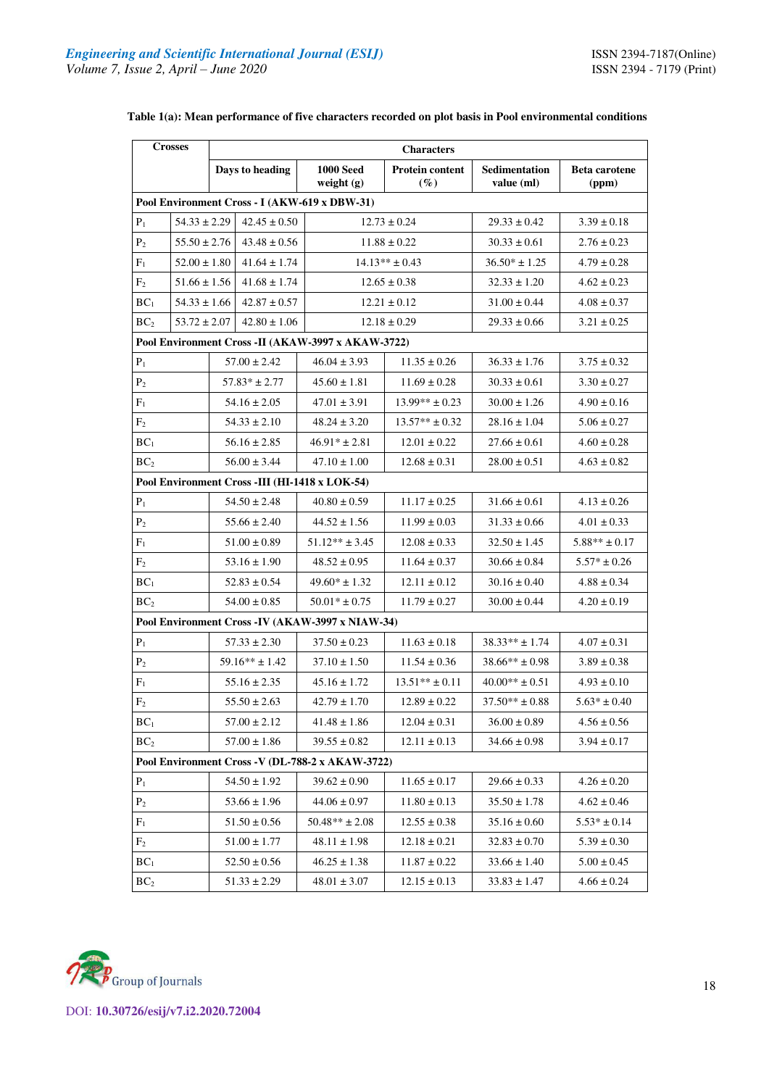| <b>Crosses</b>                                 |                                               |                  | <b>Characters</b>  |                                                    |                                  |                    |                               |  |  |  |
|------------------------------------------------|-----------------------------------------------|------------------|--------------------|----------------------------------------------------|----------------------------------|--------------------|-------------------------------|--|--|--|
|                                                |                                               |                  | Days to heading    | <b>1000 Seed</b><br>weight $(g)$                   | <b>Protein content</b><br>$(\%)$ |                    | <b>Beta</b> carotene<br>(ppm) |  |  |  |
|                                                | Pool Environment Cross - I (AKW-619 x DBW-31) |                  |                    |                                                    |                                  |                    |                               |  |  |  |
| $P_1$                                          | $54.33 \pm 2.29$                              |                  | $42.45 \pm 0.50$   |                                                    | $12.73 \pm 0.24$                 | $29.33 \pm 0.42$   | $3.39 \pm 0.18$               |  |  |  |
| P <sub>2</sub>                                 | $55.50 \pm 2.76$                              |                  | $43.48 \pm 0.56$   |                                                    | $11.88 \pm 0.22$                 | $30.33 \pm 0.61$   | $2.76 \pm 0.23$               |  |  |  |
| $F_1$                                          | $52.00 \pm 1.80$                              |                  | $41.64 \pm 1.74$   |                                                    | $14.13** \pm 0.43$               | $36.50* \pm 1.25$  | $4.79 \pm 0.28$               |  |  |  |
| F <sub>2</sub>                                 | $51.66 \pm 1.56$                              |                  | $41.68 \pm 1.74$   |                                                    | $12.65 \pm 0.38$                 | $32.33 \pm 1.20$   | $4.62 \pm 0.23$               |  |  |  |
| BC <sub>1</sub>                                | $54.33 \pm 1.66$                              |                  | $42.87 \pm 0.57$   |                                                    | $12.21 \pm 0.12$                 | $31.00 \pm 0.44$   | $4.08 \pm 0.37$               |  |  |  |
| BC <sub>2</sub>                                | $53.72 \pm 2.07$                              |                  | $42.80 \pm 1.06$   |                                                    | $12.18 \pm 0.29$                 | $29.33 \pm 0.66$   | $3.21 \pm 0.25$               |  |  |  |
|                                                |                                               |                  |                    | Pool Environment Cross -II (AKAW-3997 x AKAW-3722) |                                  |                    |                               |  |  |  |
| $P_1$                                          |                                               |                  | $57.00 \pm 2.42$   | $46.04 \pm 3.93$                                   | $11.35 \pm 0.26$                 | $36.33 \pm 1.76$   | $3.75 \pm 0.32$               |  |  |  |
| P <sub>2</sub>                                 |                                               |                  | $57.83* \pm 2.77$  | $45.60 \pm 1.81$                                   | $11.69 \pm 0.28$                 | $30.33 \pm 0.61$   | $3.30 \pm 0.27$               |  |  |  |
| $F_1$                                          |                                               |                  | $54.16 \pm 2.05$   | $47.01 \pm 3.91$                                   | $13.99** \pm 0.23$               | $30.00 \pm 1.26$   | $4.90 \pm 0.16$               |  |  |  |
| F <sub>2</sub>                                 |                                               |                  | $54.33 \pm 2.10$   | $48.24 \pm 3.20$                                   | $13.57** \pm 0.32$               | $28.16 \pm 1.04$   | $5.06 \pm 0.27$               |  |  |  |
| BC <sub>1</sub>                                |                                               |                  | $56.16 \pm 2.85$   | $46.91* \pm 2.81$                                  | $12.01 \pm 0.22$                 | $27.66 \pm 0.61$   | $4.60 \pm 0.28$               |  |  |  |
| BC <sub>2</sub><br>$56.00 \pm 3.44$            |                                               | $47.10 \pm 1.00$ | $12.68 \pm 0.31$   | $28.00 \pm 0.51$                                   | $4.63 \pm 0.82$                  |                    |                               |  |  |  |
| Pool Environment Cross -III (HI-1418 x LOK-54) |                                               |                  |                    |                                                    |                                  |                    |                               |  |  |  |
| $P_1$                                          |                                               |                  | $54.50 \pm 2.48$   | $40.80 \pm 0.59$                                   | $11.17 \pm 0.25$                 | $31.66 \pm 0.61$   | $4.13 \pm 0.26$               |  |  |  |
| P <sub>2</sub>                                 |                                               |                  | $55.66 \pm 2.40$   | $44.52 \pm 1.56$                                   | $11.99 \pm 0.03$                 | $31.33 \pm 0.66$   | $4.01\pm0.33$                 |  |  |  |
| $F_1$                                          |                                               |                  | $51.00 \pm 0.89$   | $51.12** \pm 3.45$                                 | $12.08 \pm 0.33$                 | $32.50 \pm 1.45$   | $5.88** \pm 0.17$             |  |  |  |
| F <sub>2</sub>                                 |                                               |                  | $53.16 \pm 1.90$   | $48.52 \pm 0.95$                                   | $11.64 \pm 0.37$                 | $30.66 \pm 0.84$   | $5.57* \pm 0.26$              |  |  |  |
| BC <sub>1</sub>                                |                                               |                  | $52.83 \pm 0.54$   | $49.60* \pm 1.32$                                  | $12.11 \pm 0.12$                 | $30.16 \pm 0.40$   | $4.88 \pm 0.34$               |  |  |  |
| BC <sub>2</sub>                                |                                               |                  | $54.00 \pm 0.85$   | $50.01* \pm 0.75$                                  | $11.79 \pm 0.27$                 | $30.00 \pm 0.44$   | $4.20 \pm 0.19$               |  |  |  |
|                                                |                                               |                  |                    | Pool Environment Cross - IV (AKAW-3997 x NIAW-34)  |                                  |                    |                               |  |  |  |
| $P_1$                                          |                                               |                  | $57.33 \pm 2.30$   | $37.50 \pm 0.23$                                   | $11.63 \pm 0.18$                 | $38.33** \pm 1.74$ | $4.07 \pm 0.31$               |  |  |  |
| P <sub>2</sub>                                 |                                               |                  | $59.16** \pm 1.42$ | $37.10 \pm 1.50$                                   | $11.54 \pm 0.36$                 | $38.66** \pm 0.98$ | $3.89 \pm 0.38$               |  |  |  |
| $F_1$                                          |                                               |                  | $55.16 \pm 2.35$   | $45.16 \pm 1.72$                                   | $13.51** \pm 0.11$               | $40.00** \pm 0.51$ | $4.93 \pm 0.10$               |  |  |  |
| F <sub>2</sub>                                 |                                               |                  | $55.50 \pm 2.63$   | $42.79 \pm 1.70$                                   | $12.89 \pm 0.22$                 | $37.50** \pm 0.88$ | $5.63* \pm 0.40$              |  |  |  |
| BC <sub>1</sub>                                |                                               |                  | $57.00 \pm 2.12$   | $41.48 \pm 1.86$                                   | $12.04 \pm 0.31$                 | $36.00 \pm 0.89$   | $4.56 \pm 0.56$               |  |  |  |
| BC <sub>2</sub>                                |                                               |                  | $57.00 \pm 1.86$   | $39.55\pm0.82$                                     | $12.11 \pm 0.13$                 | $34.66 \pm 0.98$   | $3.94 \pm 0.17$               |  |  |  |
|                                                |                                               |                  |                    | Pool Environment Cross -V (DL-788-2 x AKAW-3722)   |                                  |                    |                               |  |  |  |
| $P_1$                                          |                                               |                  | $54.50 \pm 1.92$   | $39.62 \pm 0.90$                                   | $11.65 \pm 0.17$                 | $29.66 \pm 0.33$   | $4.26 \pm 0.20$               |  |  |  |
| $P_2$                                          |                                               |                  | $53.66 \pm 1.96$   | $44.06 \pm 0.97$                                   | $11.80 \pm 0.13$                 | $35.50 \pm 1.78$   | $4.62 \pm 0.46$               |  |  |  |
| $F_1$                                          |                                               |                  | $51.50 \pm 0.56$   | $50.48** \pm 2.08$                                 | $12.55 \pm 0.38$                 | $35.16 \pm 0.60$   | $5.53* \pm 0.14$              |  |  |  |
| F <sub>2</sub>                                 |                                               |                  | $51.00 \pm 1.77$   | $48.11 \pm 1.98$                                   | $12.18 \pm 0.21$                 | $32.83 \pm 0.70$   | $5.39 \pm 0.30$               |  |  |  |
| BC <sub>1</sub>                                |                                               |                  | $52.50 \pm 0.56$   | $46.25 \pm 1.38$                                   | $11.87 \pm 0.22$                 | $33.66 \pm 1.40$   | $5.00 \pm 0.45$               |  |  |  |
| BC <sub>2</sub>                                |                                               |                  | $51.33 \pm 2.29$   | $48.01 \pm 3.07$                                   | $12.15 \pm 0.13$                 | $33.83 \pm 1.47$   | $4.66 \pm 0.24$               |  |  |  |

# **Table 1(a): Mean performance of five characters recorded on plot basis in Pool environmental conditions**

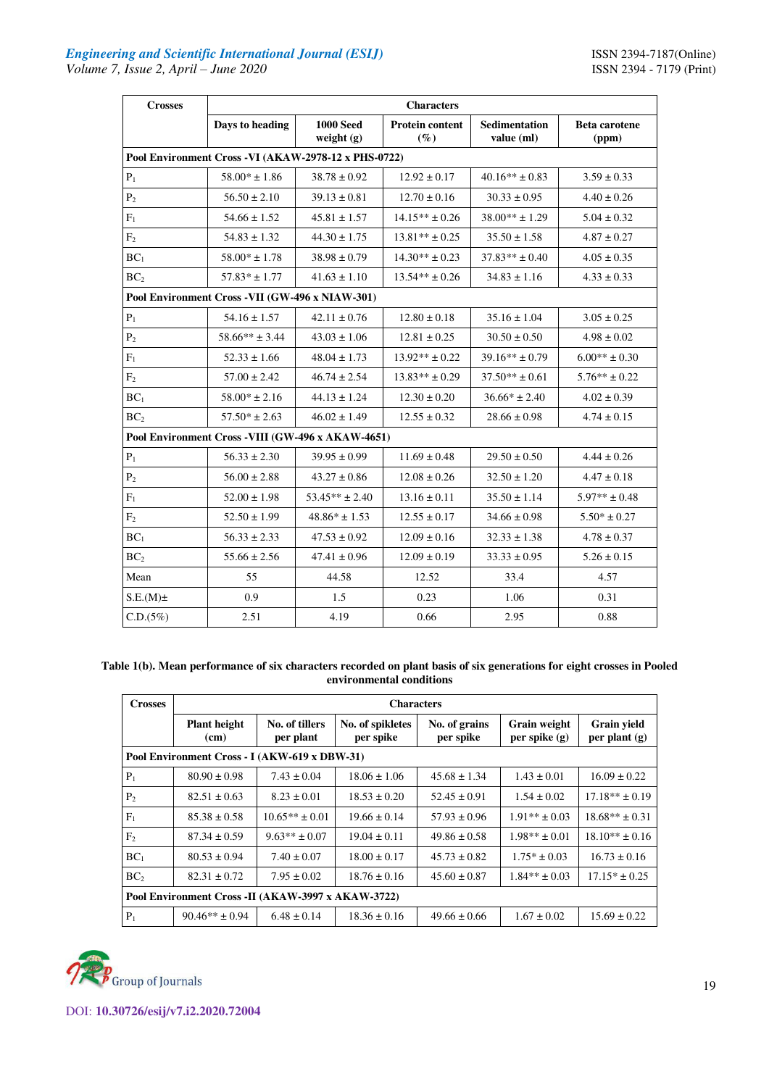| <b>Crosses</b>                                   | <b>Characters</b>                                     |                                  |                                  |                             |                               |  |  |  |  |  |
|--------------------------------------------------|-------------------------------------------------------|----------------------------------|----------------------------------|-----------------------------|-------------------------------|--|--|--|--|--|
|                                                  | Days to heading                                       | <b>1000 Seed</b><br>weight $(g)$ | <b>Protein content</b><br>$(\%)$ | Sedimentation<br>value (ml) | <b>Beta carotene</b><br>(ppm) |  |  |  |  |  |
|                                                  | Pool Environment Cross - VI (AKAW-2978-12 x PHS-0722) |                                  |                                  |                             |                               |  |  |  |  |  |
| $\mathbf{P}_1$                                   | $58.00* \pm 1.86$                                     | $38.78 \pm 0.92$                 | $12.92 \pm 0.17$                 | $40.16** \pm 0.83$          | $3.59 \pm 0.33$               |  |  |  |  |  |
| P <sub>2</sub>                                   | $56.50 \pm 2.10$                                      | $39.13 \pm 0.81$                 | $12.70 \pm 0.16$                 | $30.33 \pm 0.95$            | $4.40 \pm 0.26$               |  |  |  |  |  |
| $F_1$                                            | $54.66 \pm 1.52$                                      | $45.81 \pm 1.57$                 | $14.15** \pm 0.26$               | $38.00** \pm 1.29$          | $5.04 \pm 0.32$               |  |  |  |  |  |
| F <sub>2</sub>                                   | $54.83 \pm 1.32$                                      | $44.30 \pm 1.75$                 | $13.81** \pm 0.25$               | $35.50 \pm 1.58$            | $4.87 \pm 0.27$               |  |  |  |  |  |
| BC <sub>1</sub>                                  | $58.00* \pm 1.78$                                     | $38.98 \pm 0.79$                 | $14.30** \pm 0.23$               | $37.83** \pm 0.40$          | $4.05 \pm 0.35$               |  |  |  |  |  |
| BC <sub>2</sub>                                  | $57.83* \pm 1.77$                                     | $41.63 \pm 1.10$                 | $13.54** \pm 0.26$               | $34.83 \pm 1.16$            | $4.33 \pm 0.33$               |  |  |  |  |  |
| Pool Environment Cross - VII (GW-496 x NIAW-301) |                                                       |                                  |                                  |                             |                               |  |  |  |  |  |
| $P_1$                                            | $54.16 \pm 1.57$                                      | $42.11 \pm 0.76$                 | $12.80 \pm 0.18$                 | $35.16 \pm 1.04$            | $3.05 \pm 0.25$               |  |  |  |  |  |
| P <sub>2</sub>                                   | $58.66** \pm 3.44$                                    | $43.03 \pm 1.06$                 | $12.81 \pm 0.25$                 | $30.50 \pm 0.50$            | $4.98 \pm 0.02$               |  |  |  |  |  |
| $\mathbf{F}_1$                                   | $52.33 \pm 1.66$                                      | $48.04 \pm 1.73$                 | $13.92** \pm 0.22$               | $39.16** \pm 0.79$          | $6.00** \pm 0.30$             |  |  |  |  |  |
| F <sub>2</sub>                                   | $57.00 \pm 2.42$                                      | $46.74 \pm 2.54$                 | $13.83** \pm 0.29$               | $37.50** \pm 0.61$          | $5.76** \pm 0.22$             |  |  |  |  |  |
| BC <sub>1</sub>                                  | $58.00* \pm 2.16$                                     | $44.13 \pm 1.24$                 | $12.30 \pm 0.20$                 | $36.66* \pm 2.40$           | $4.02 \pm 0.39$               |  |  |  |  |  |
| BC <sub>2</sub>                                  | $57.50* \pm 2.63$                                     | $46.02 \pm 1.49$                 | $12.55 \pm 0.32$                 | $28.66 \pm 0.98$            | $4.74 \pm 0.15$               |  |  |  |  |  |
|                                                  | Pool Environment Cross - VIII (GW-496 x AKAW-4651)    |                                  |                                  |                             |                               |  |  |  |  |  |
| $P_1$                                            | $56.33 \pm 2.30$                                      | $39.95 \pm 0.99$                 | $11.69 \pm 0.48$                 | $29.50 \pm 0.50$            | $4.44 \pm 0.26$               |  |  |  |  |  |
| P <sub>2</sub>                                   | $56.00 \pm 2.88$                                      | $43.27 \pm 0.86$                 | $12.08 \pm 0.26$                 | $32.50 \pm 1.20$            | $4.47 \pm 0.18$               |  |  |  |  |  |
| $F_1$                                            | $52.00 \pm 1.98$                                      | $53.45** \pm 2.40$               | $13.16 \pm 0.11$                 | $35.50 \pm 1.14$            | $5.97** \pm 0.48$             |  |  |  |  |  |
| F <sub>2</sub>                                   | $52.50 \pm 1.99$                                      | $48.86* \pm 1.53$                | $12.55 \pm 0.17$                 | $34.66 \pm 0.98$            | $5.50* \pm 0.27$              |  |  |  |  |  |
| BC <sub>1</sub>                                  | $56.33 \pm 2.33$                                      | $47.53 \pm 0.92$                 | $12.09 \pm 0.16$                 | $32.33 \pm 1.38$            | $4.78 \pm 0.37$               |  |  |  |  |  |
| BC <sub>2</sub>                                  | $55.66 \pm 2.56$                                      | $47.41 \pm 0.96$                 | $12.09 \pm 0.19$                 | $33.33 \pm 0.95$            | $5.26 \pm 0.15$               |  |  |  |  |  |
| Mean                                             | 55                                                    | 44.58                            | 12.52                            | 33.4                        | 4.57                          |  |  |  |  |  |
| $S.E.(M) \pm$                                    | 0.9                                                   | 1.5                              | 0.23                             | 1.06                        | 0.31                          |  |  |  |  |  |
| C.D.(5%)                                         | 2.51                                                  | 4.19                             | 0.66                             | 2.95                        | 0.88                          |  |  |  |  |  |

# **Table 1(b). Mean performance of six characters recorded on plant basis of six generations for eight crosses in Pooled environmental conditions**

| <b>Crosses</b>                                | <b>Characters</b>                                  |                             |                               |                            |                                 |                                       |  |  |  |
|-----------------------------------------------|----------------------------------------------------|-----------------------------|-------------------------------|----------------------------|---------------------------------|---------------------------------------|--|--|--|
|                                               | <b>Plant height</b><br>(cm)                        | No. of tillers<br>per plant | No. of spikletes<br>per spike | No. of grains<br>per spike | Grain weight<br>per spike $(g)$ | <b>Grain yield</b><br>per plant $(g)$ |  |  |  |
| Pool Environment Cross - I (AKW-619 x DBW-31) |                                                    |                             |                               |                            |                                 |                                       |  |  |  |
| $P_1$                                         | $80.90 \pm 0.98$                                   | $7.43 \pm 0.04$             | $18.06 \pm 1.06$              | $45.68 \pm 1.34$           | $1.43 \pm 0.01$                 | $16.09 \pm 0.22$                      |  |  |  |
| P <sub>2</sub>                                | $82.51 \pm 0.63$                                   | $8.23 \pm 0.01$             | $18.53 \pm 0.20$              | $52.45 \pm 0.91$           | $1.54 \pm 0.02$                 | $17.18** \pm 0.19$                    |  |  |  |
| $F_1$                                         | $85.38 \pm 0.58$                                   | $10.65** \pm 0.01$          | $19.66 \pm 0.14$              | $57.93 \pm 0.96$           | $1.91** \pm 0.03$               | $18.68** \pm 0.31$                    |  |  |  |
| F <sub>2</sub>                                | $87.34 \pm 0.59$                                   | $9.63** \pm 0.07$           | $19.04 \pm 0.11$              | $49.86 \pm 0.58$           | $1.98** \pm 0.01$               | $18.10** + 0.16$                      |  |  |  |
| BC <sub>1</sub>                               | $80.53 \pm 0.94$                                   | $7.40 \pm 0.07$             | $18.00 \pm 0.17$              | $45.73 \pm 0.82$           | $1.75* \pm 0.03$                | $16.73 \pm 0.16$                      |  |  |  |
| BC <sub>2</sub>                               | $82.31 \pm 0.72$                                   | $7.95 \pm 0.02$             | $18.76 \pm 0.16$              | $45.60 \pm 0.87$           | $1.84** \pm 0.03$               | $17.15* \pm 0.25$                     |  |  |  |
|                                               | Pool Environment Cross -II (AKAW-3997 x AKAW-3722) |                             |                               |                            |                                 |                                       |  |  |  |
| $P_1$                                         | $90.46** + 0.94$                                   | $6.48 \pm 0.14$             | $18.36 \pm 0.16$              | $49.66 \pm 0.66$           | $1.67 \pm 0.02$                 | $15.69 \pm 0.22$                      |  |  |  |

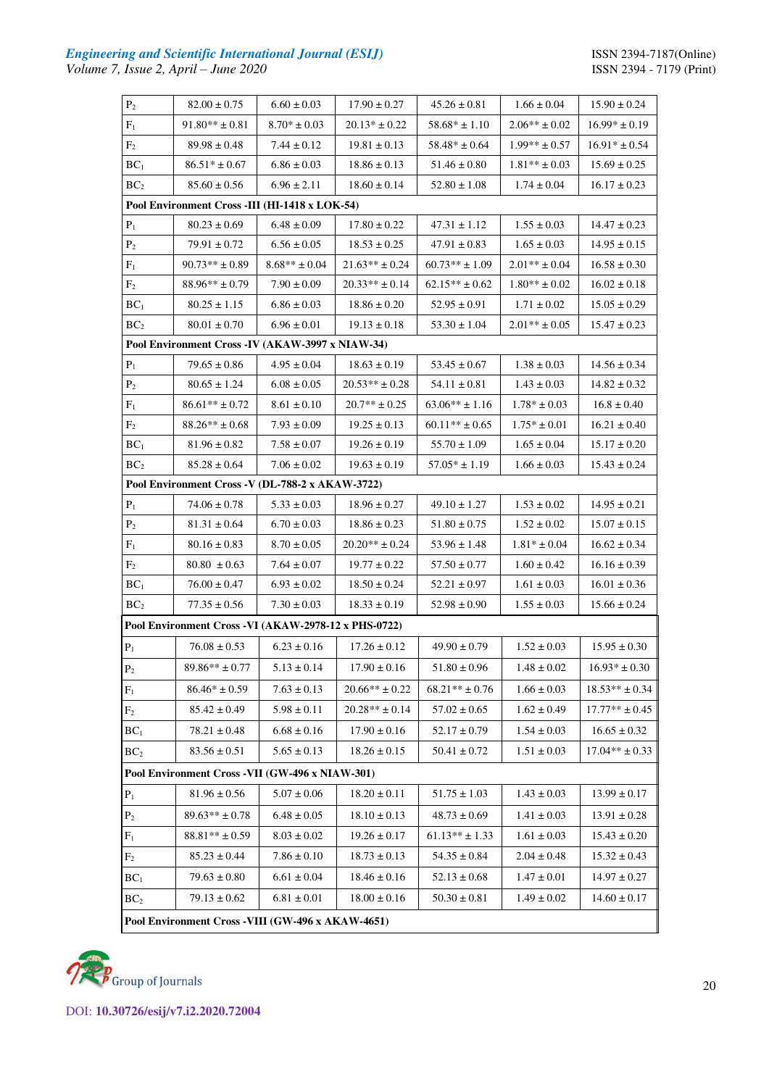# *Engineering and Scientific International Journal (ESIJ)* **ISSN 2394-7187(Online)** *Volume 7, Issue 2, April – June 2020* ISSN 2394 - 7179 (Print)

| $P_2$                                          | $82.00 \pm 0.75$                                      | $6.60 \pm 0.03$                       | $17.90 \pm 0.27$   | $45.26 \pm 0.81$   | $1.66 \pm 0.04$   | $15.90 \pm 0.24$   |  |  |  |  |
|------------------------------------------------|-------------------------------------------------------|---------------------------------------|--------------------|--------------------|-------------------|--------------------|--|--|--|--|
| $F_1$                                          | $91.80^{**} \pm 0.81$                                 | $8.70* \pm 0.03$                      | $20.13* \pm 0.22$  | $58.68* \pm 1.10$  | $2.06** \pm 0.02$ | $16.99* \pm 0.19$  |  |  |  |  |
| F <sub>2</sub>                                 | $89.98 \pm 0.48$                                      | $7.44 \pm 0.12$                       | $19.81 \pm 0.13$   | $58.48* \pm 0.64$  | $1.99** \pm 0.57$ | $16.91* \pm 0.54$  |  |  |  |  |
| BC <sub>1</sub>                                | $86.51* \pm 0.67$                                     | $6.86 \pm 0.03$                       | $18.86 \pm 0.13$   | $51.46 \pm 0.80$   | $1.81** \pm 0.03$ | $15.69 \pm 0.25$   |  |  |  |  |
| BC <sub>2</sub>                                | $85.60 \pm 0.56$                                      | $6.96 \pm 2.11$                       | $18.60 \pm 0.14$   | $52.80 \pm 1.08$   | $1.74 \pm 0.04$   | $16.17 \pm 0.23$   |  |  |  |  |
| Pool Environment Cross -III (HI-1418 x LOK-54) |                                                       |                                       |                    |                    |                   |                    |  |  |  |  |
| $P_1$                                          | $80.23 \pm 0.69$                                      | $6.48 \pm 0.09$                       | $17.80 \pm 0.22$   | $47.31 \pm 1.12$   | $1.55 \pm 0.03$   | $14.47\pm0.23$     |  |  |  |  |
| P <sub>2</sub>                                 | $79.91 \pm 0.72$                                      | $6.56 \pm 0.05$                       | $18.53 \pm 0.25$   | $47.91 \pm 0.83$   | $1.65 \pm 0.03$   | $14.95 \pm 0.15$   |  |  |  |  |
| $F_1$                                          | $90.73** \pm 0.89$                                    | $8.68** \pm 0.04$                     | $21.63** \pm 0.24$ | $60.73** \pm 1.09$ | $2.01** \pm 0.04$ | $16.58 \pm 0.30$   |  |  |  |  |
| F <sub>2</sub>                                 | $88.96^{\ast\ast} \pm 0.79$                           | $7.90 \pm 0.09$                       | $20.33** \pm 0.14$ | $62.15** \pm 0.62$ | $1.80** \pm 0.02$ | $16.02 \pm 0.18$   |  |  |  |  |
| BC <sub>1</sub>                                | $80.25 \pm 1.15$                                      | $6.86 \pm 0.03$                       | $18.86 \pm 0.20$   | $52.95 \pm 0.91$   | $1.71 \pm 0.02$   | $15.05 \pm 0.29$   |  |  |  |  |
| BC <sub>2</sub>                                | $80.01 \pm 0.70$                                      | $6.96 \pm 0.01$                       | $19.13 \pm 0.18$   | $53.30 \pm 1.04$   | $2.01** \pm 0.05$ | $15.47 \pm 0.23$   |  |  |  |  |
|                                                | Pool Environment Cross - IV (AKAW-3997 x NIAW-34)     |                                       |                    |                    |                   |                    |  |  |  |  |
| $P_1$                                          | $79.65 \pm 0.86$                                      | $4.95 \pm 0.04$                       | $18.63 \pm 0.19$   | $53.45 \pm 0.67$   | $1.38 \pm 0.03$   | $14.56 \pm 0.34$   |  |  |  |  |
| P <sub>2</sub>                                 | $80.65 \pm 1.24$                                      | $6.08 \pm 0.05$                       | $20.53** \pm 0.28$ | $54.11 \pm 0.81$   | $1.43 \pm 0.03$   | $14.82 \pm 0.32$   |  |  |  |  |
| $F_1$                                          | $86.61** \pm 0.72$                                    | $8.61 \pm 0.10$                       | $20.7** \pm 0.25$  | $63.06** \pm 1.16$ | $1.78* \pm 0.03$  | $16.8 \pm 0.40$    |  |  |  |  |
| F <sub>2</sub>                                 | $88.26** \pm 0.68$                                    | $7.93 \pm 0.09$                       | $19.25 \pm 0.13$   | $60.11** \pm 0.65$ | $1.75* \pm 0.01$  | $16.21 \pm 0.40$   |  |  |  |  |
| BC <sub>1</sub>                                | $81.96 \pm 0.82$                                      | $7.58 \pm 0.07$                       | $19.26 \pm 0.19$   | $55.70 \pm 1.09$   | $1.65 \pm 0.04$   | $15.17 \pm 0.20$   |  |  |  |  |
| BC <sub>2</sub>                                | $85.28 \pm 0.64$                                      | $7.06 \pm 0.02$                       | $19.63 \pm 0.19$   | $57.05* \pm 1.19$  | $1.66 \pm 0.03$   | $15.43 \pm 0.24$   |  |  |  |  |
|                                                | Pool Environment Cross -V (DL-788-2 x AKAW-3722)      |                                       |                    |                    |                   |                    |  |  |  |  |
| $P_1$                                          | $74.06 \pm 0.78$                                      | $5.33 \pm 0.03$                       | $18.96 \pm 0.27$   | $49.10 \pm 1.27$   | $1.53 \pm 0.02$   | $14.95 \pm 0.21$   |  |  |  |  |
| P <sub>2</sub>                                 | $81.31 \pm 0.64$                                      | $6.70 \pm 0.03$                       | $18.86 \pm 0.23$   | $51.80 \pm 0.75$   | $1.52 \pm 0.02$   | $15.07 \pm 0.15$   |  |  |  |  |
| $F_1$                                          | $80.16 \pm 0.83$                                      | $8.70 \pm 0.05$                       | $20.20** \pm 0.24$ | $53.96 \pm 1.48$   | $1.81* \pm 0.04$  | $16.62 \pm 0.34$   |  |  |  |  |
| F <sub>2</sub>                                 | $80.80 \pm 0.63$                                      | $7.64 \pm 0.07$                       | $19.77 \pm 0.22$   | $57.50 \pm 0.77$   | $1.60 \pm 0.42$   | $16.16 \pm 0.39$   |  |  |  |  |
| $\mathbf{BC}_1$                                | $76.00 \pm 0.47$                                      | $6.93 \pm 0.02$                       | $18.50 \pm 0.24$   | $52.21 \pm 0.97$   | $1.61 \pm 0.03$   | $16.01 \pm 0.36$   |  |  |  |  |
| BC <sub>2</sub>                                | $77.35 \pm 0.56$                                      | $7.30 \pm 0.03$                       | $18.33 \pm 0.19$   | $52.98 \pm 0.90$   | $1.55 \pm 0.03$   | $15.66 \pm 0.24$   |  |  |  |  |
|                                                | Pool Environment Cross - VI (AKAW-2978-12 x PHS-0722) |                                       |                    |                    |                   |                    |  |  |  |  |
| $\mathbf{P}_1$                                 | $76.08 \pm 0.53$                                      | $6.23 \pm 0.16$                       | $17.26 \pm 0.12$   | $49.90 \pm 0.79$   | $1.52 \pm 0.03$   | $15.95 \pm 0.30$   |  |  |  |  |
| $\mathbf{P}_2$                                 | $89.86** \pm 0.77$                                    | $5.13 \pm 0.14$                       | $17.90 \pm 0.16$   | $51.80 \pm 0.96$   | $1.48 \pm 0.02$   | $16.93* \pm 0.30$  |  |  |  |  |
| $F_1$                                          | $86.46* \pm 0.59$                                     | $7.63 \pm 0.13$                       | $20.66** \pm 0.22$ | $68.21** \pm 0.76$ | $1.66 \pm 0.03$   | $18.53** \pm 0.34$ |  |  |  |  |
| F <sub>2</sub>                                 | $85.42 \pm 0.49$                                      | $5.98 \pm 0.11$                       | $20.28** \pm 0.14$ | $57.02 \pm 0.65$   | $1.62 \pm 0.49$   | $17.77** \pm 0.45$ |  |  |  |  |
| BC <sub>1</sub>                                | $78.21 \pm 0.48$                                      | $6.68 \pm 0.16$                       | $17.90 \pm 0.16$   | $52.17 \pm 0.79$   | $1.54 \pm 0.03$   | $16.65 \pm 0.32$   |  |  |  |  |
| BC <sub>2</sub>                                | $83.56 \pm 0.51$                                      | $5.65 \pm 0.13$                       | $18.26 \pm 0.15$   | $50.41 \pm 0.72$   | $1.51 \pm 0.03$   | $17.04** \pm 0.33$ |  |  |  |  |
|                                                | Pool Environment Cross - VII (GW-496 x NIAW-301)      |                                       |                    |                    |                   |                    |  |  |  |  |
| $P_1$                                          | $81.96 \pm 0.56$                                      | $5.07 \pm 0.06$                       | $18.20 \pm 0.11$   | $51.75 \pm 1.03$   | $1.43 \pm 0.03$   | $13.99 \pm 0.17$   |  |  |  |  |
| P <sub>2</sub>                                 | $89.63** \pm 0.78$                                    | $6.48 \pm 0.05$                       | $18.10 \pm 0.13$   | $48.73 \pm 0.69$   | $1.41 \pm 0.03$   | $13.91 \pm 0.28$   |  |  |  |  |
| $F_1$                                          | $88.81** \pm 0.59$                                    | $8.03 \pm 0.02$                       | $19.26 \pm 0.17$   | $61.13** \pm 1.33$ | $1.61 \pm 0.03$   | $15.43 \pm 0.20$   |  |  |  |  |
| F <sub>2</sub>                                 | $85.23 \pm 0.44$                                      | $7.86 \pm 0.10$                       | $18.73 \pm 0.13$   | $54.35 \pm 0.84$   | $2.04 \pm 0.48$   | $15.32 \pm 0.43$   |  |  |  |  |
| BC <sub>1</sub>                                | $79.63 \pm 0.80$                                      | $6.61 \pm 0.04$                       | $18.46 \pm 0.16$   | $52.13 \pm 0.68$   | $1.47 \pm 0.01$   | $14.97\pm0.27$     |  |  |  |  |
| BC <sub>2</sub>                                | $79.13 \pm 0.62$                                      | $6.81 \pm 0.01$                       | $18.00 \pm 0.16$   | $50.30 \pm 0.81$   | $1.49 \pm 0.02$   | $14.60\pm0.17$     |  |  |  |  |
| $\mathbf{D}_{\alpha}$ $\alpha$                 |                                                       | $\sim$ VIII (CW 406 $\sim$ AVAW 4651) |                    |                    |                   |                    |  |  |  |  |

**Pool Environment Cross -VIII (GW-496 x AKAW-4651)** 

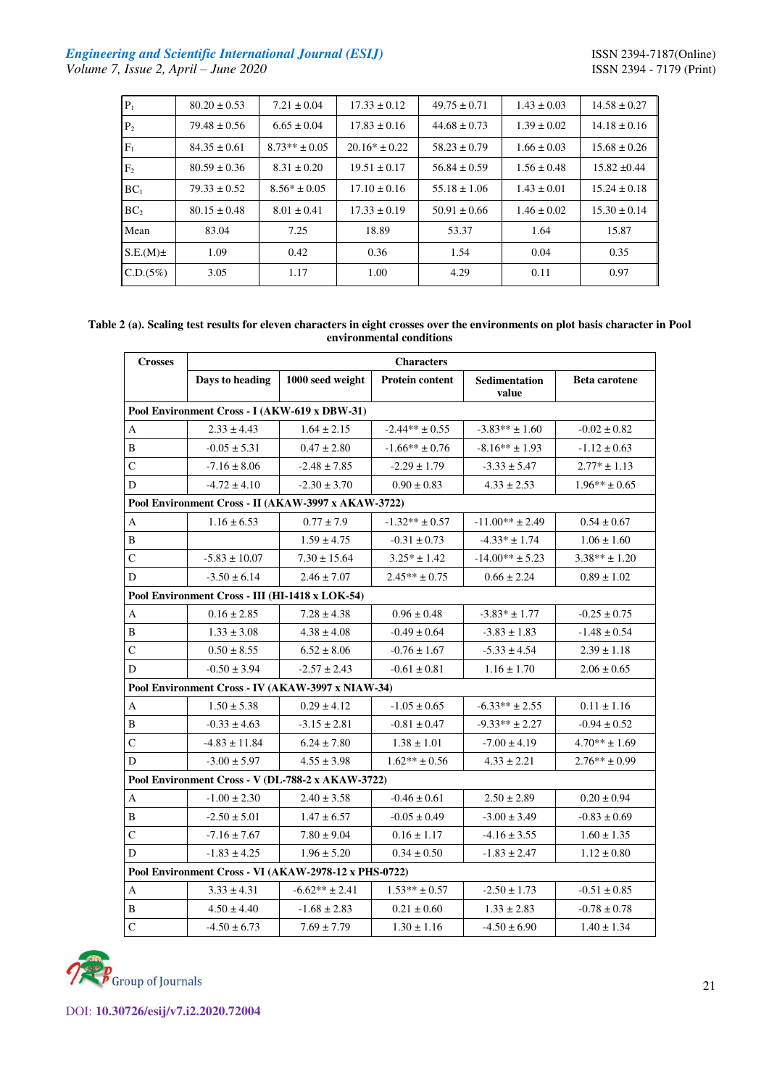# *Engineering and Scientific International Journal (ESIJ)* **ISSN 2394-7187(Online)** *Volume 7, Issue 2, April – June 2020* ISSN 2394 - 7179 (Print)

| $P_1$           | $80.20 \pm 0.53$ | $7.21 \pm 0.04$   | $17.33 \pm 0.12$  | $49.75 \pm 0.71$ | $1.43 \pm 0.03$ | $14.58 \pm 0.27$ |
|-----------------|------------------|-------------------|-------------------|------------------|-----------------|------------------|
| P <sub>2</sub>  | $79.48 \pm 0.56$ | $6.65 \pm 0.04$   | $17.83 \pm 0.16$  | $44.68 \pm 0.73$ | $1.39 \pm 0.02$ | $14.18 \pm 0.16$ |
| $F_1$           | $84.35 \pm 0.61$ | $8.73** \pm 0.05$ | $20.16* \pm 0.22$ | $58.23 \pm 0.79$ | $1.66 \pm 0.03$ | $15.68 \pm 0.26$ |
| F <sub>2</sub>  | $80.59 \pm 0.36$ | $8.31 \pm 0.20$   | $19.51 \pm 0.17$  | $56.84 \pm 0.59$ | $1.56 \pm 0.48$ | $15.82 \pm 0.44$ |
| BC <sub>1</sub> | $79.33 \pm 0.52$ | $8.56* \pm 0.05$  | $17.10 \pm 0.16$  | $55.18 \pm 1.06$ | $1.43 \pm 0.01$ | $15.24 \pm 0.18$ |
| BC <sub>2</sub> | $80.15 \pm 0.48$ | $8.01 \pm 0.41$   | $17.33 \pm 0.19$  | $50.91 \pm 0.66$ | $1.46 \pm 0.02$ | $15.30 \pm 0.14$ |
| Mean            | 83.04            | 7.25              | 18.89             | 53.37            | 1.64            | 15.87            |
| $S.E.(M) \pm$   | 1.09             | 0.42              | 0.36              | 1.54             | 0.04            | 0.35             |
| C.D.(5%)        | 3.05             | 1.17              | 1.00              | 4.29             | 0.11            | 0.97             |

#### **Table 2 (a). Scaling test results for eleven characters in eight crosses over the environments on plot basis character in Pool environmental conditions**

| <b>Crosses</b>                                      | <b>Characters</b>                             |                                                       |                        |                        |                      |  |  |  |  |
|-----------------------------------------------------|-----------------------------------------------|-------------------------------------------------------|------------------------|------------------------|----------------------|--|--|--|--|
|                                                     | Days to heading                               | 1000 seed weight                                      | <b>Protein content</b> | Sedimentation<br>value | <b>Beta carotene</b> |  |  |  |  |
|                                                     | Pool Environment Cross - I (AKW-619 x DBW-31) |                                                       |                        |                        |                      |  |  |  |  |
| A                                                   | $2.33 \pm 4.43$                               | $1.64 \pm 2.15$                                       | $-2.44** \pm 0.55$     | $-3.83** \pm 1.60$     | $-0.02 \pm 0.82$     |  |  |  |  |
| B                                                   | $-0.05 \pm 5.31$                              | $0.47 \pm 2.80$                                       | $-1.66** \pm 0.76$     | $-8.16** \pm 1.93$     | $-1.12 \pm 0.63$     |  |  |  |  |
| $\mathsf{C}$                                        | $-7.16 \pm 8.06$                              | $-2.48 \pm 7.85$                                      | $-2.29 \pm 1.79$       | $-3.33 \pm 5.47$       | $2.77* \pm 1.13$     |  |  |  |  |
| D                                                   | $-4.72 \pm 4.10$                              | $-2.30 \pm 3.70$                                      | $0.90 \pm 0.83$        | $4.33 \pm 2.53$        | $1.96** \pm 0.65$    |  |  |  |  |
| Pool Environment Cross - II (AKAW-3997 x AKAW-3722) |                                               |                                                       |                        |                        |                      |  |  |  |  |
| A                                                   | $1.16 \pm 6.53$                               | $0.77 \pm 7.9$                                        | $-1.32** \pm 0.57$     | $-11.00** \pm 2.49$    | $0.54 \pm 0.67$      |  |  |  |  |
| B                                                   |                                               | $1.59 \pm 4.75$                                       | $-0.31 \pm 0.73$       | $-4.33* \pm 1.74$      | $1.06 \pm 1.60$      |  |  |  |  |
| $\mathsf{C}$                                        | $-5.83 \pm 10.07$                             | $7.30 \pm 15.64$                                      | $3.25* \pm 1.42$       | $-14.00** \pm 5.23$    | $3.38** \pm 1.20$    |  |  |  |  |
| D                                                   | $-3.50 \pm 6.14$                              | $2.46 \pm 7.07$                                       | $2.45** \pm 0.75$      | $0.66 \pm 2.24$        | $0.89 \pm 1.02$      |  |  |  |  |
| Pool Environment Cross - III (HI-1418 x LOK-54)     |                                               |                                                       |                        |                        |                      |  |  |  |  |
| A                                                   | $0.16 \pm 2.85$                               | $7.28 \pm 4.38$                                       | $0.96 \pm 0.48$        | $-3.83* \pm 1.77$      | $-0.25 \pm 0.75$     |  |  |  |  |
| B                                                   | $1.33 \pm 3.08$                               | $4.38 \pm 4.08$                                       | $-0.49 \pm 0.64$       | $-3.83 \pm 1.83$       | $-1.48 \pm 0.54$     |  |  |  |  |
| $\mathsf C$                                         | $0.50 \pm 8.55$                               | $6.52 \pm 8.06$                                       | $-0.76 \pm 1.67$       | $-5.33 \pm 4.54$       | $2.39 \pm 1.18$      |  |  |  |  |
| D                                                   | $-0.50 \pm 3.94$                              | $-2.57 \pm 2.43$                                      | $-0.61 \pm 0.81$       | $1.16 \pm 1.70$        | $2.06 \pm 0.65$      |  |  |  |  |
|                                                     |                                               | Pool Environment Cross - IV (AKAW-3997 x NIAW-34)     |                        |                        |                      |  |  |  |  |
| $\boldsymbol{A}$                                    | $1.50 \pm 5.38$                               | $0.29 \pm 4.12$                                       | $-1.05 \pm 0.65$       | $-6.33** \pm 2.55$     | $0.11 \pm 1.16$      |  |  |  |  |
| B                                                   | $-0.33 \pm 4.63$                              | $-3.15 \pm 2.81$                                      | $-0.81 \pm 0.47$       | $-9.33**$ ± 2.27       | $-0.94 \pm 0.52$     |  |  |  |  |
| ${\bf C}$                                           | $-4.83 \pm 11.84$                             | $6.24 \pm 7.80$                                       | $1.38 \pm 1.01$        | $-7.00 \pm 4.19$       | $4.70** \pm 1.69$    |  |  |  |  |
| D                                                   | $-3.00 \pm 5.97$                              | $4.55 \pm 3.98$                                       | $1.62** \pm 0.56$      | $4.33 \pm 2.21$        | $2.76** \pm 0.99$    |  |  |  |  |
|                                                     |                                               | Pool Environment Cross - V (DL-788-2 x AKAW-3722)     |                        |                        |                      |  |  |  |  |
| A                                                   | $-1.00 \pm 2.30$                              | $2.40 \pm 3.58$                                       | $-0.46 \pm 0.61$       | $2.50 \pm 2.89$        | $0.20 \pm 0.94$      |  |  |  |  |
| B                                                   | $-2.50 \pm 5.01$                              | $1.47 \pm 6.57$                                       | $-0.05 \pm 0.49$       | $-3.00 \pm 3.49$       | $-0.83 \pm 0.69$     |  |  |  |  |
| $\mathsf{C}$                                        | $-7.16 \pm 7.67$                              | $7.80 \pm 9.04$                                       | $0.16 \pm 1.17$        | $-4.16 \pm 3.55$       | $1.60 \pm 1.35$      |  |  |  |  |
| D                                                   | $-1.83 \pm 4.25$                              | $1.96 \pm 5.20$                                       | $0.34 \pm 0.50$        | $-1.83 \pm 2.47$       | $1.12 \pm 0.80$      |  |  |  |  |
|                                                     |                                               | Pool Environment Cross - VI (AKAW-2978-12 x PHS-0722) |                        |                        |                      |  |  |  |  |
| A                                                   | $3.33 \pm 4.31$                               | $-6.62** \pm 2.41$                                    | $1.53** \pm 0.57$      | $-2.50 \pm 1.73$       | $-0.51\pm0.85$       |  |  |  |  |
| B                                                   | $4.50 \pm 4.40$                               | $-1.68 \pm 2.83$                                      | $0.21 \pm 0.60$        | $1.33 \pm 2.83$        | $-0.78 \pm 0.78$     |  |  |  |  |
| $\mathbf C$                                         | $-4.50 \pm 6.73$                              | $7.69 \pm 7.79$                                       | $1.30 \pm 1.16$        | $-4.50 \pm 6.90$       | $1.40 \pm 1.34$      |  |  |  |  |
|                                                     |                                               |                                                       |                        |                        |                      |  |  |  |  |

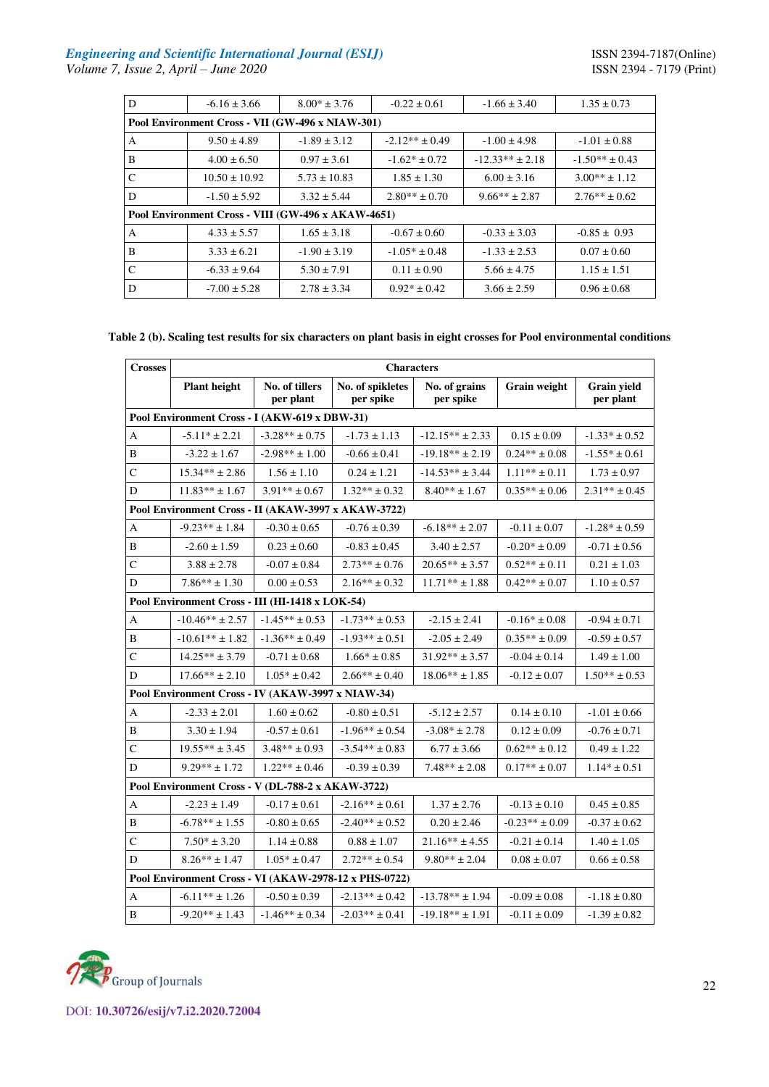| D             | $-6.16 \pm 3.66$                                   | $8.00* \pm 3.76$ | $-0.22 \pm 0.61$   | $-1.66 \pm 3.40$  | $1.35 \pm 0.73$    |
|---------------|----------------------------------------------------|------------------|--------------------|-------------------|--------------------|
|               | Pool Environment Cross - VII (GW-496 x NIAW-301)   |                  |                    |                   |                    |
| A             | $9.50 \pm 4.89$                                    | $-1.89 \pm 3.12$ | $-2.12** \pm 0.49$ | $-1.00 \pm 4.98$  | $-1.01 \pm 0.88$   |
| B             | $4.00 \pm 6.50$                                    | $0.97 \pm 3.61$  | $-1.62* \pm 0.72$  | $-12.33** + 2.18$ | $-1.50** \pm 0.43$ |
| C             | $10.50 \pm 10.92$                                  | $5.73 \pm 10.83$ | $1.85 \pm 1.30$    | $6.00 \pm 3.16$   | $3.00** \pm 1.12$  |
| D             | $-1.50 \pm 5.92$                                   | $3.32 \pm 5.44$  | $2.80** \pm 0.70$  | $9.66***$ ± 2.87  | $2.76** \pm 0.62$  |
|               | Pool Environment Cross - VIII (GW-496 x AKAW-4651) |                  |                    |                   |                    |
| A             | $4.33 \pm 5.57$                                    | $1.65 \pm 3.18$  | $-0.67 \pm 0.60$   | $-0.33 \pm 3.03$  | $-0.85 \pm 0.93$   |
| B             | $3.33 \pm 6.21$                                    | $-1.90 \pm 3.19$ | $-1.05* \pm 0.48$  | $-1.33 \pm 2.53$  | $0.07 \pm 0.60$    |
| $\mathcal{C}$ | $-6.33 \pm 9.64$                                   | $5.30 \pm 7.91$  | $0.11 \pm 0.90$    | $5.66 \pm 4.75$   | $1.15 \pm 1.51$    |
| D             | $-7.00 \pm 5.28$                                   | $2.78 \pm 3.34$  | $0.92* \pm 0.42$   | $3.66 \pm 2.59$   | $0.96 \pm 0.68$    |

# **Table 2 (b). Scaling test results for six characters on plant basis in eight crosses for Pool environmental conditions**

| <b>Crosses</b> |                                                       | <b>Characters</b>           |                               |                            |                     |                          |  |  |  |  |
|----------------|-------------------------------------------------------|-----------------------------|-------------------------------|----------------------------|---------------------|--------------------------|--|--|--|--|
|                | <b>Plant</b> height                                   | No. of tillers<br>per plant | No. of spikletes<br>per spike | No. of grains<br>per spike | <b>Grain weight</b> | Grain yield<br>per plant |  |  |  |  |
|                | Pool Environment Cross - I (AKW-619 x DBW-31)         |                             |                               |                            |                     |                          |  |  |  |  |
| A              | $-5.11* \pm 2.21$                                     | $-3.28** \pm 0.75$          | $-1.73 \pm 1.13$              | $-12.15** \pm 2.33$        | $0.15 \pm 0.09$     | $-1.33* \pm 0.52$        |  |  |  |  |
| B              | $-3.22 \pm 1.67$                                      | $-2.98** \pm 1.00$          | $-0.66 \pm 0.41$              | $-19.18** \pm 2.19$        | $0.24** \pm 0.08$   | $-1.55* \pm 0.61$        |  |  |  |  |
| $\mathsf{C}$   | $15.34** \pm 2.86$                                    | $1.56 \pm 1.10$             | $0.24 \pm 1.21$               | $-14.53** \pm 3.44$        | $1.11** \pm 0.11$   | $1.73 \pm 0.97$          |  |  |  |  |
| D              | $11.83** \pm 1.67$                                    | $3.91** \pm 0.67$           | $1.32** \pm 0.32$             | $8.40** \pm 1.67$          | $0.35** \pm 0.06$   | $2.31** \pm 0.45$        |  |  |  |  |
|                | Pool Environment Cross - II (AKAW-3997 x AKAW-3722)   |                             |                               |                            |                     |                          |  |  |  |  |
| A              | $-9.23** \pm 1.84$                                    | $-0.30 \pm 0.65$            | $-0.76 \pm 0.39$              | $-6.18** \pm 2.07$         | $-0.11 \pm 0.07$    | $-1.28* \pm 0.59$        |  |  |  |  |
| $\bf{B}$       | $-2.60 \pm 1.59$                                      | $0.23\pm0.60$               | $-0.83 \pm 0.45$              | $3.40 \pm 2.57$            | $-0.20* \pm 0.09$   | $-0.71 \pm 0.56$         |  |  |  |  |
| $\mathsf{C}$   | $3.88 \pm 2.78$                                       | $-0.07 \pm 0.84$            | $2.73** \pm 0.76$             | $20.65** \pm 3.57$         | $0.52** \pm 0.11$   | $0.21 \pm 1.03$          |  |  |  |  |
| D              | $7.86** \pm 1.30$                                     | $0.00 \pm 0.53$             | $2.16** \pm 0.32$             | $11.71*** \pm 1.88$        | $0.42** \pm 0.07$   | $1.10 \pm 0.57$          |  |  |  |  |
|                | Pool Environment Cross - III (HI-1418 x LOK-54)       |                             |                               |                            |                     |                          |  |  |  |  |
| $\mathbf{A}$   | $-10.46** \pm 2.57$                                   | $-1.45** \pm 0.53$          | $-1.73** \pm 0.53$            | $-2.15 \pm 2.41$           | $-0.16* \pm 0.08$   | $-0.94 \pm 0.71$         |  |  |  |  |
| $\bf{B}$       | $-10.61** \pm 1.82$                                   | $-1.36** \pm 0.49$          | $-1.93** \pm 0.51$            | $-2.05 \pm 2.49$           | $0.35** \pm 0.09$   | $-0.59 \pm 0.57$         |  |  |  |  |
| $\mathsf{C}$   | $14.25** \pm 3.79$                                    | $-0.71 \pm 0.68$            | $1.66* \pm 0.85$              | $31.92** \pm 3.57$         | $-0.04 \pm 0.14$    | $1.49 \pm 1.00$          |  |  |  |  |
| D              | $17.66** \pm 2.10$                                    | $1.05* \pm 0.42$            | $2.66** \pm 0.40$             | $18.06** \pm 1.85$         | $-0.12 \pm 0.07$    | $1.50** \pm 0.53$        |  |  |  |  |
|                | Pool Environment Cross - IV (AKAW-3997 x NIAW-34)     |                             |                               |                            |                     |                          |  |  |  |  |
| A              | $-2.33 \pm 2.01$                                      | $1.60 \pm 0.62$             | $-0.80 \pm 0.51$              | $-5.12 \pm 2.57$           | $0.14 \pm 0.10$     | $-1.01\pm0.66$           |  |  |  |  |
| B              | $3.30 \pm 1.94$                                       | $-0.57 \pm 0.61$            | $-1.96** \pm 0.54$            | $-3.08* \pm 2.78$          | $0.12 \pm 0.09$     | $-0.76 \pm 0.71$         |  |  |  |  |
| $\mathsf{C}$   | $19.55** \pm 3.45$                                    | $3.48** \pm 0.93$           | $-3.54** \pm 0.83$            | $6.77 \pm 3.66$            | $0.62** \pm 0.12$   | $0.49 \pm 1.22$          |  |  |  |  |
| D              | $9.29** \pm 1.72$                                     | $1.22** \pm 0.46$           | $-0.39 \pm 0.39$              | $7.48** \pm 2.08$          | $0.17** \pm 0.07$   | $1.14* \pm 0.51$         |  |  |  |  |
|                | Pool Environment Cross - V (DL-788-2 x AKAW-3722)     |                             |                               |                            |                     |                          |  |  |  |  |
| $\mathbf{A}$   | $-2.23 \pm 1.49$                                      | $-0.17 \pm 0.61$            | $-2.16** \pm 0.61$            | $1.37 \pm 2.76$            | $-0.13 \pm 0.10$    | $0.45 \pm 0.85$          |  |  |  |  |
| B              | $-6.78** \pm 1.55$                                    | $-0.80 \pm 0.65$            | $-2.40** \pm 0.52$            | $0.20 \pm 2.46$            | $-0.23** \pm 0.09$  | $-0.37 \pm 0.62$         |  |  |  |  |
| $\mathsf{C}$   | $7.50* \pm 3.20$                                      | $1.14 \pm 0.88$             | $0.88 \pm 1.07$               | $21.16** \pm 4.55$         | $-0.21 \pm 0.14$    | $1.40 \pm 1.05$          |  |  |  |  |
| D              | $8.26** \pm 1.47$                                     | $1.05* \pm 0.47$            | $2.72** \pm 0.54$             | $9.80** \pm 2.04$          | $0.08 \pm 0.07$     | $0.66 \pm 0.58$          |  |  |  |  |
|                | Pool Environment Cross - VI (AKAW-2978-12 x PHS-0722) |                             |                               |                            |                     |                          |  |  |  |  |
| $\mathbf{A}$   | $-6.11** \pm 1.26$                                    | $-0.50 \pm 0.39$            | $-2.13** \pm 0.42$            | $-13.78** \pm 1.94$        | $-0.09 \pm 0.08$    | $-1.18 \pm 0.80$         |  |  |  |  |
| $\, {\bf B}$   | $-9.20** \pm 1.43$                                    | $-1.46** \pm 0.34$          | $-2.03** \pm 0.41$            | $-19.18** \pm 1.91$        | $-0.11 \pm 0.09$    | $-1.39 \pm 0.82$         |  |  |  |  |

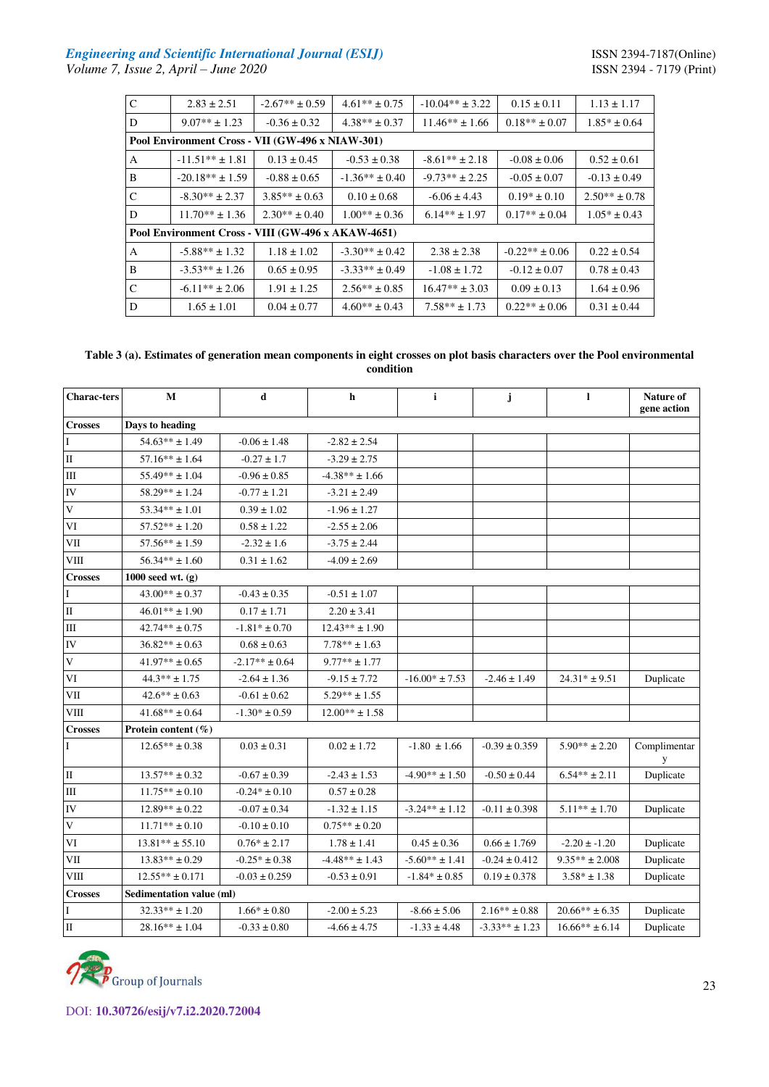# *Engineering and Scientific International Journal (ESIJ)* **ISSN 2394-7187(Online)**

| $\mathbf C$  | $2.83 \pm 2.51$                                    | $-2.67** \pm 0.59$ | $4.61** \pm 0.75$  | $-10.04** \pm 3.22$ | $0.15 \pm 0.11$    | $1.13 \pm 1.17$   |  |  |  |  |
|--------------|----------------------------------------------------|--------------------|--------------------|---------------------|--------------------|-------------------|--|--|--|--|
| D            | $9.07** \pm 1.23$                                  | $-0.36 \pm 0.32$   | $4.38** \pm 0.37$  | $11.46** \pm 1.66$  | $0.18** \pm 0.07$  | $1.85* \pm 0.64$  |  |  |  |  |
|              | Pool Environment Cross - VII (GW-496 x NIAW-301)   |                    |                    |                     |                    |                   |  |  |  |  |
| A            | $-11.51** \pm 1.81$                                | $0.13 \pm 0.45$    | $-0.53 \pm 0.38$   | $-8.61** \pm 2.18$  | $-0.08 \pm 0.06$   | $0.52 \pm 0.61$   |  |  |  |  |
| B            | $-20.18** \pm 1.59$                                | $-0.88 \pm 0.65$   | $-1.36** \pm 0.40$ | $-9.73**$ ± 2.25    | $-0.05 \pm 0.07$   | $-0.13 \pm 0.49$  |  |  |  |  |
| $\mathsf{C}$ | $-8.30** \pm 2.37$                                 | $3.85** \pm 0.63$  | $0.10 \pm 0.68$    | $-6.06 \pm 4.43$    | $0.19* \pm 0.10$   | $2.50** \pm 0.78$ |  |  |  |  |
| D            | $11.70** \pm 1.36$                                 | $2.30** \pm 0.40$  | $1.00** \pm 0.36$  | $6.14** \pm 1.97$   | $0.17** \pm 0.04$  | $1.05* \pm 0.43$  |  |  |  |  |
|              | Pool Environment Cross - VIII (GW-496 x AKAW-4651) |                    |                    |                     |                    |                   |  |  |  |  |
| A            | $-5.88** \pm 1.32$                                 | $1.18 \pm 1.02$    | $-3.30** \pm 0.42$ | $2.38 \pm 2.38$     | $-0.22** \pm 0.06$ | $0.22 \pm 0.54$   |  |  |  |  |
| B            | $-3.53** \pm 1.26$                                 | $0.65 \pm 0.95$    | $-3.33** \pm 0.49$ | $-1.08 \pm 1.72$    | $-0.12 \pm 0.07$   | $0.78 \pm 0.43$   |  |  |  |  |
| $\mathsf{C}$ | $-6.11** \pm 2.06$                                 | $1.91 \pm 1.25$    | $2.56** \pm 0.85$  | $16.47** \pm 3.03$  | $0.09 \pm 0.13$    | $1.64 \pm 0.96$   |  |  |  |  |
| D            | $1.65 \pm 1.01$                                    | $0.04 \pm 0.77$    | $4.60** \pm 0.43$  | $7.58** \pm 1.73$   | $0.22** \pm 0.06$  | $0.31 \pm 0.44$   |  |  |  |  |

**Table 3 (a). Estimates of generation mean components in eight crosses on plot basis characters over the Pool environmental condition** 

| <b>Charac-ters</b> | M                         | d                  | h                  | $\mathbf{i}$       | j                  | 1                  | Nature of<br>gene action |
|--------------------|---------------------------|--------------------|--------------------|--------------------|--------------------|--------------------|--------------------------|
| <b>Crosses</b>     | Days to heading           |                    |                    |                    |                    |                    |                          |
| $\mathbf I$        | $54.63** \pm 1.49$        | $-0.06 \pm 1.48$   | $-2.82 \pm 2.54$   |                    |                    |                    |                          |
| $\rm II$           | $57.16** \pm 1.64$        | $-0.27 \pm 1.7$    | $-3.29 \pm 2.75$   |                    |                    |                    |                          |
| Ш                  | $55.49** \pm 1.04$        | $-0.96 \pm 0.85$   | $-4.38** \pm 1.66$ |                    |                    |                    |                          |
| ${\rm IV}$         | $58.29** \pm 1.24$        | $-0.77 \pm 1.21$   | $-3.21 \pm 2.49$   |                    |                    |                    |                          |
| $\mathbf V$        | $53.34** \pm 1.01$        | $0.39 \pm 1.02$    | $-1.96 \pm 1.27$   |                    |                    |                    |                          |
| VI                 | $57.52** \pm 1.20$        | $0.58 \pm 1.22$    | $-2.55 \pm 2.06$   |                    |                    |                    |                          |
| VII                | $57.56** \pm 1.59$        | $-2.32 \pm 1.6$    | $-3.75 \pm 2.44$   |                    |                    |                    |                          |
| VIII               | $56.34** \pm 1.60$        | $0.31 \pm 1.62$    | $-4.09 \pm 2.69$   |                    |                    |                    |                          |
| <b>Crosses</b>     | 1000 seed wt. $(g)$       |                    |                    |                    |                    |                    |                          |
| I                  | $43.00** \pm 0.37$        | $-0.43 \pm 0.35$   | $-0.51 \pm 1.07$   |                    |                    |                    |                          |
| II                 | $46.01** \pm 1.90$        | $0.17 \pm 1.71$    | $2.20 \pm 3.41$    |                    |                    |                    |                          |
| $\rm III$          | $42.74** \pm 0.75$        | $-1.81* \pm 0.70$  | $12.43** \pm 1.90$ |                    |                    |                    |                          |
| IV                 | $36.82** \pm 0.63$        | $0.68 \pm 0.63$    | $7.78** \pm 1.63$  |                    |                    |                    |                          |
| V                  | $41.97** \pm 0.65$        | $-2.17** \pm 0.64$ | $9.77** \pm 1.77$  |                    |                    |                    |                          |
| VI                 | $44.3** \pm 1.75$         | $-2.64 \pm 1.36$   | $-9.15 \pm 7.72$   | $-16.00* \pm 7.53$ | $-2.46 \pm 1.49$   | $24.31* + 9.51$    | Duplicate                |
| VII                | $42.6** \pm 0.63$         | $-0.61 \pm 0.62$   | $5.29** \pm 1.55$  |                    |                    |                    |                          |
| $VIII$             | $41.68** \pm 0.64$        | $-1.30* \pm 0.59$  | $12.00** \pm 1.58$ |                    |                    |                    |                          |
| <b>Crosses</b>     | Protein content $(\% )$   |                    |                    |                    |                    |                    |                          |
| $\mathbf{I}$       | $12.65** \pm 0.38$        | $0.03 \pm 0.31$    | $0.02 \pm 1.72$    | $-1.80 \pm 1.66$   | $-0.39 \pm 0.359$  | $5.90** \pm 2.20$  | Complimentar<br>y        |
| $\mathbf{I}$       | $13.57** \pm 0.32$        | $-0.67 \pm 0.39$   | $-2.43 \pm 1.53$   | $-4.90** \pm 1.50$ | $-0.50 \pm 0.44$   | $6.54** \pm 2.11$  | Duplicate                |
| Ш                  | $11.75** \pm 0.10$        | $-0.24* \pm 0.10$  | $0.57 \pm 0.28$    |                    |                    |                    |                          |
| ${\rm IV}$         | $12.89** \pm 0.22$        | $-0.07 \pm 0.34$   | $-1.32 \pm 1.15$   | $-3.24** \pm 1.12$ | $-0.11 \pm 0.398$  | $5.11** \pm 1.70$  | Duplicate                |
| $\mathbf V$        | $11.71^{\ast\ast}\pm0.10$ | $-0.10 \pm 0.10$   | $0.75*** \pm 0.20$ |                    |                    |                    |                          |
| VI                 | $13.81** \pm 55.10$       | $0.76* \pm 2.17$   | $1.78 \pm 1.41$    | $0.45 \pm 0.36$    | $0.66 \pm 1.769$   | $-2.20 \pm -1.20$  | Duplicate                |
| VII                | $13.83** \pm 0.29$        | $-0.25* \pm 0.38$  | $-4.48** \pm 1.43$ | $-5.60** \pm 1.41$ | $-0.24 \pm 0.412$  | $9.35** \pm 2.008$ | Duplicate                |
| <b>VIII</b>        | $12.55***$ ± 0.171        | $-0.03 \pm 0.259$  | $-0.53 \pm 0.91$   | $-1.84* \pm 0.85$  | $0.19 \pm 0.378$   | $3.58* \pm 1.38$   | Duplicate                |
| <b>Crosses</b>     | Sedimentation value (ml)  |                    |                    |                    |                    |                    |                          |
| $\bf{I}$           | $32.33** \pm 1.20$        | $1.66* \pm 0.80$   | $-2.00 \pm 5.23$   | $-8.66 \pm 5.06$   | $2.16** \pm 0.88$  | $20.66** \pm 6.35$ | Duplicate                |
| II                 | $28.16** \pm 1.04$        | $-0.33 \pm 0.80$   | $-4.66 \pm 4.75$   | $-1.33 \pm 4.48$   | $-3.33** \pm 1.23$ | $16.66** \pm 6.14$ | Duplicate                |

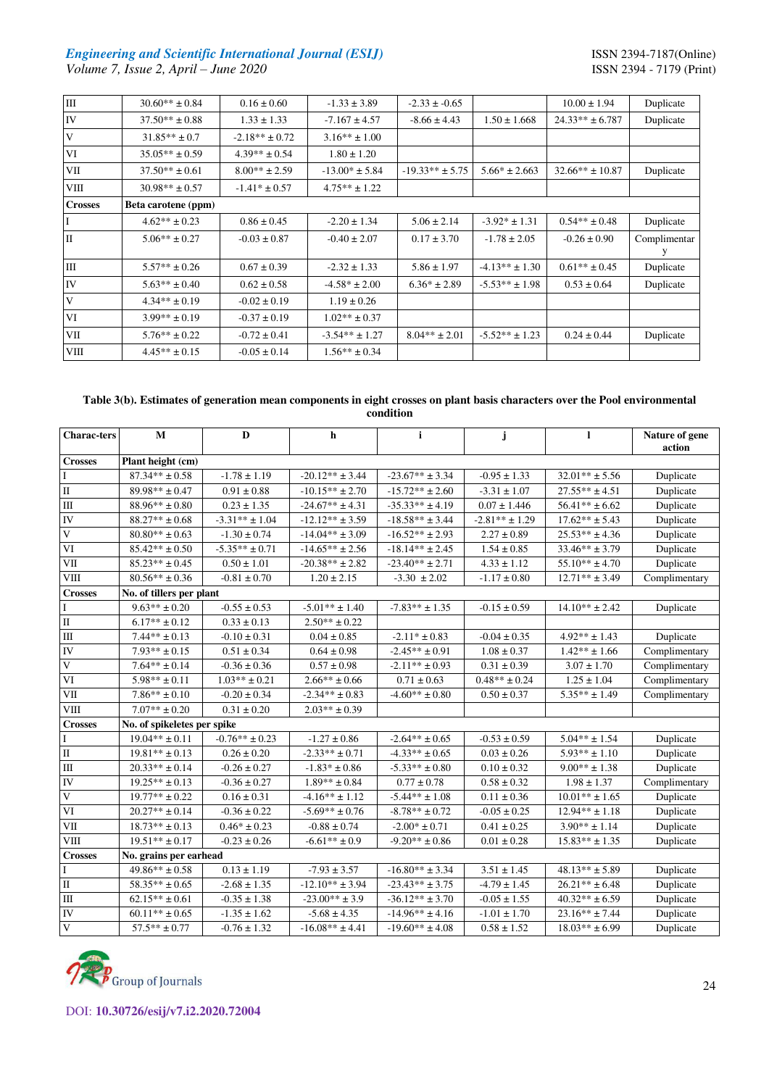# *Engineering and Scientific International Journal (ESIJ) ISSN 2394-7187(Online) ISSN 2394-7187(Online) Volume 7, Issue 2, April – June 2020 Volume 7, Issue 2, April – June 2020*

| $\rm III$      | $30.60** \pm 0.84$  | $0.16 \pm 0.60$    | $-1.33 \pm 3.89$   | $-2.33 \pm -0.65$   |                    | $10.00 \pm 1.94$    | Duplicate         |
|----------------|---------------------|--------------------|--------------------|---------------------|--------------------|---------------------|-------------------|
| ${\rm IV}$     | $37.50** \pm 0.88$  | $1.33 \pm 1.33$    | $-7.167 \pm 4.57$  | $-8.66 \pm 4.43$    | $1.50 \pm 1.668$   | $24.33** \pm 6.787$ | Duplicate         |
| V              | $31.85** \pm 0.7$   | $-2.18** \pm 0.72$ | $3.16** \pm 1.00$  |                     |                    |                     |                   |
| VI             | $35.05** \pm 0.59$  | $4.39** \pm 0.54$  | $1.80 \pm 1.20$    |                     |                    |                     |                   |
| VІІ            | $37.50** \pm 0.61$  | $8.00** \pm 2.59$  | $-13.00* \pm 5.84$ | $-19.33** \pm 5.75$ | $5.66* \pm 2.663$  | $32.66** \pm 10.87$ | Duplicate         |
| VIII           | $30.98** \pm 0.57$  | $-1.41* \pm 0.57$  | $4.75** \pm 1.22$  |                     |                    |                     |                   |
| <b>Crosses</b> | Beta carotene (ppm) |                    |                    |                     |                    |                     |                   |
| I              | $4.62** \pm 0.23$   | $0.86 \pm 0.45$    | $-2.20 \pm 1.34$   | $5.06 \pm 2.14$     | $-3.92* \pm 1.31$  | $0.54** \pm 0.48$   | Duplicate         |
| $\mathbf{I}$   | $5.06** \pm 0.27$   | $-0.03 \pm 0.87$   | $-0.40 \pm 2.07$   | $0.17 \pm 3.70$     | $-1.78 \pm 2.05$   | $-0.26 \pm 0.90$    | Complimentar<br>у |
| $\mathbf{m}$   | $5.57** \pm 0.26$   | $0.67 \pm 0.39$    | $-2.32 \pm 1.33$   | $5.86 \pm 1.97$     | $-4.13** \pm 1.30$ | $0.61** \pm 0.45$   | Duplicate         |
| ${\rm IV}$     | $5.63** \pm 0.40$   | $0.62 \pm 0.58$    | $-4.58* \pm 2.00$  | $6.36* \pm 2.89$    | $-5.53** \pm 1.98$ | $0.53 \pm 0.64$     | Duplicate         |
| V              | $4.34** \pm 0.19$   | $-0.02 \pm 0.19$   | $1.19 \pm 0.26$    |                     |                    |                     |                   |
| VI             | $3.99** \pm 0.19$   | $-0.37 \pm 0.19$   | $1.02** \pm 0.37$  |                     |                    |                     |                   |
| VII            | $5.76** \pm 0.22$   | $-0.72 \pm 0.41$   | $-3.54** \pm 1.27$ | $8.04** \pm 2.01$   | $-5.52** \pm 1.23$ | $0.24 \pm 0.44$     | Duplicate         |
| VIII           | $4.45** \pm 0.15$   | $-0.05 \pm 0.14$   | $1.56** \pm 0.34$  |                     |                    |                     |                   |

# **Table 3(b). Estimates of generation mean components in eight crosses on plant basis characters over the Pool environmental condition**

| <b>Charac-ters</b>               | $\mathbf{M}$                | $\mathbf{D}$              | $\mathbf h$          | $\mathbf{i}$        | j                  | 1                  | Nature of gene<br>action |
|----------------------------------|-----------------------------|---------------------------|----------------------|---------------------|--------------------|--------------------|--------------------------|
| <b>Crosses</b>                   | Plant height (cm)           |                           |                      |                     |                    |                    |                          |
| $\mathbf{I}$                     | $87.34** \pm 0.58$          | $-1.78 \pm 1.19$          | $-20.12** \pm 3.44$  | $-23.67** \pm 3.34$ | $-0.95 \pm 1.33$   | $32.01** \pm 5.56$ | Duplicate                |
| $\rm II$                         | $89.98** \pm 0.47$          | $0.91 \pm 0.88$           | $-10.15** \pm 2.70$  | $-15.72** \pm 2.60$ | $-3.31 \pm 1.07$   | $27.55** \pm 4.51$ | Duplicate                |
| $\rm III$                        | $88.96** \pm 0.80$          | $0.23 \pm 1.35$           | $-24.67** \pm 4.31$  | $-35.33** + 4.19$   | $0.07 \pm 1.446$   | $56.41** \pm 6.62$ | Duplicate                |
| IV                               | $88.27** \pm 0.68$          | $-3.31** \pm 1.04$        | $-12.12** \pm 3.59$  | $-18.58** \pm 3.44$ | $-2.81** \pm 1.29$ | $17.62** \pm 5.43$ | Duplicate                |
| $\mathbf V$                      | $80.80** \pm 0.63$          | $-1.30 \pm 0.74$          | $-14.04** \pm 3.09$  | $-16.52** \pm 2.93$ | $2.27 \pm 0.89$    | $25.53** \pm 4.36$ | Duplicate                |
| VI                               | $85.42** \pm 0.50$          | $-5.35** \pm 0.71$        | $-14.65*** \pm 2.56$ | $-18.14** \pm 2.45$ | $1.54 \pm 0.85$    | $33.46** \pm 3.79$ | Duplicate                |
| VII                              | $85.23** \pm 0.45$          | $0.50 \pm 1.01$           | $-20.38** \pm 2.82$  | $-23.40** \pm 2.71$ | $4.33 \pm 1.12$    | $55.10** \pm 4.70$ | Duplicate                |
| <b>VIII</b>                      | $80.56** \pm 0.36$          | $-0.81 \pm 0.70$          | $1.20 \pm 2.15$      | $-3.30 \pm 2.02$    | $-1.17 \pm 0.80$   | $12.71** \pm 3.49$ | Complimentary            |
| <b>Crosses</b>                   | No. of tillers per plant    |                           |                      |                     |                    |                    |                          |
| $\mathbf I$                      | $9.63** \pm 0.20$           | $-0.55 \pm 0.53$          | $-5.01** \pm 1.40$   | $-7.83** \pm 1.35$  | $-0.15 \pm 0.59$   | $14.10** \pm 2.42$ | Duplicate                |
| $\rm II$                         | $6.17** \pm 0.12$           | $0.33 \pm 0.13$           | $2.50** \pm 0.22$    |                     |                    |                    |                          |
| $\mathop{\mathrm{III}}\nolimits$ | $7.44** \pm 0.13$           | $-0.10 \pm 0.31$          | $0.04 \pm 0.85$      | $-2.11* \pm 0.83$   | $-0.04 \pm 0.35$   | $4.92** \pm 1.43$  | Duplicate                |
| IV                               | $7.93** \pm 0.15$           | $0.51 \pm 0.34$           | $0.64 \pm 0.98$      | $-2.45** \pm 0.91$  | $1.08 \pm 0.37$    | $1.42** \pm 1.66$  | Complimentary            |
| $\mathbf V$                      | $7.64** \pm 0.14$           | $-0.36 \pm 0.36$          | $0.57 \pm 0.98$      | $-2.11** \pm 0.93$  | $0.31 \pm 0.39$    | $3.07 \pm 1.70$    | Complimentary            |
| VI                               | $5.98** \pm 0.11$           | $1.03\!\ast\!\ast\pm0.21$ | $2.66** \pm 0.66$    | $0.71 \pm 0.63$     | $0.48** \pm 0.24$  | $1.25 \pm 1.04$    | Complimentary            |
| VII                              | $7.86** \pm 0.10$           | $-0.20 \pm 0.34$          | $-2.34** \pm 0.83$   | $-4.60** \pm 0.80$  | $0.50 \pm 0.37$    | $5.35** \pm 1.49$  | Complimentary            |
| <b>VIII</b>                      | $7.07** \pm 0.20$           | $0.31 \pm 0.20$           | $2.03** \pm 0.39$    |                     |                    |                    |                          |
| <b>Crosses</b>                   | No. of spikeletes per spike |                           |                      |                     |                    |                    |                          |
| $\mathbf{I}$                     | $19.04** \pm 0.11$          | $-0.76** \pm 0.23$        | $-1.27 \pm 0.86$     | $-2.64** \pm 0.65$  | $-0.53 \pm 0.59$   | $5.04** \pm 1.54$  | Duplicate                |
| $\rm II$                         | $19.81** \pm 0.13$          | $0.26 \pm 0.20$           | $-2.33** \pm 0.71$   | $-4.33** \pm 0.65$  | $0.03 \pm 0.26$    | $5.93** \pm 1.10$  | Duplicate                |
| Ш                                | $20.33** \pm 0.14$          | $-0.26 \pm 0.27$          | $-1.83* \pm 0.86$    | $-5.33** \pm 0.80$  | $0.10 \pm 0.32$    | $9.00** \pm 1.38$  | Duplicate                |
| IV                               | $19.25** \pm 0.13$          | $-0.36 \pm 0.27$          | $1.89** \pm 0.84$    | $0.77 \pm 0.78$     | $0.58 \pm 0.32$    | $1.98 \pm 1.37$    | Complimentary            |
| $\mathbf V$                      | $19.77** \pm 0.22$          | $0.16 \pm 0.31$           | $-4.16** \pm 1.12$   | $-5.44** \pm 1.08$  | $0.11\pm0.36$      | $10.01** \pm 1.65$ | Duplicate                |
| VI                               | $20.27** \pm 0.14$          | $-0.36 \pm 0.22$          | $-5.69** \pm 0.76$   | $-8.78** \pm 0.72$  | $-0.05 \pm 0.25$   | $12.94** \pm 1.18$ | Duplicate                |
| ${\rm VII}$                      | $18.73** \pm 0.13$          | $0.46* \pm 0.23$          | $-0.88 \pm 0.74$     | $-2.00* \pm 0.71$   | $0.41\pm0.25$      | $3.90** \pm 1.14$  | Duplicate                |
| <b>VIII</b>                      | $19.51** \pm 0.17$          | $-0.23 \pm 0.26$          | $-6.61** \pm 0.9$    | $-9.20** \pm 0.86$  | $0.01 \pm 0.28$    | $15.83** \pm 1.35$ | Duplicate                |
| <b>Crosses</b>                   | No. grains per earhead      |                           |                      |                     |                    |                    |                          |
| $\mathbf{I}$                     | $49.86** \pm 0.58$          | $0.13 \pm 1.19$           | $-7.93 \pm 3.57$     | $-16.80** \pm 3.34$ | $3.51 \pm 1.45$    | $48.13** \pm 5.89$ | Duplicate                |
| $\rm II$                         | $58.35** \pm 0.65$          | $-2.68 \pm 1.35$          | $-12.10** \pm 3.94$  | $-23.43** \pm 3.75$ | $-4.79 \pm 1.45$   | $26.21** \pm 6.48$ | Duplicate                |
| $\rm III$                        | $62.15** \pm 0.61$          | $-0.35 \pm 1.38$          | $-23.00** \pm 3.9$   | $-36.12** \pm 3.70$ | $-0.05 \pm 1.55$   | $40.32** \pm 6.59$ | Duplicate                |
| IV                               | $60.11** \pm 0.65$          | $-1.35 \pm 1.62$          | $-5.68 \pm 4.35$     | $-14.96** \pm 4.16$ | $-1.01 \pm 1.70$   | $23.16** + 7.44$   | Duplicate                |
| $\mathbf V$                      | $57.5*** \pm 0.77$          | $-0.76 \pm 1.32$          | $-16.08** \pm 4.41$  | $-19.60** \pm 4.08$ | $0.58 \pm 1.52$    | $18.03** \pm 6.99$ | Duplicate                |